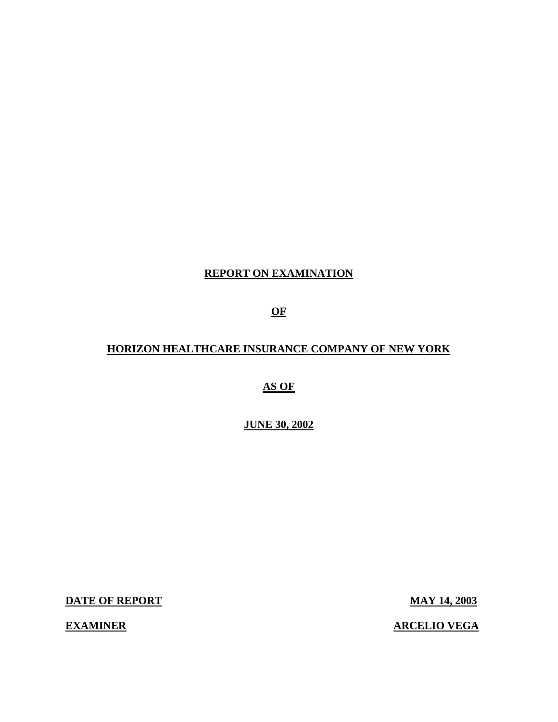# **REPORT ON EXAMINATION**

**OF** 

### **HORIZON HEALTHCARE INSURANCE COMPANY OF NEW YORK**

**AS OF** 

**JUNE 30, 2002** 

**DATE OF REPORT MAY 14, 2003** 

**EXAMINER** 

**ARCELIO VEGA**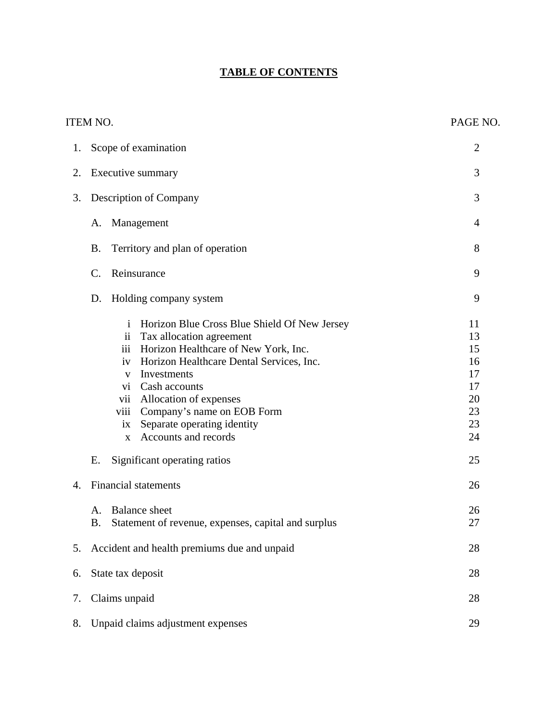# **TABLE OF CONTENTS**

|    | <b>ITEM NO.</b>                                                                                                                                                                                                                                                                                                                                                                                                                                                                                        | PAGE NO.                                                                   |  |  |
|----|--------------------------------------------------------------------------------------------------------------------------------------------------------------------------------------------------------------------------------------------------------------------------------------------------------------------------------------------------------------------------------------------------------------------------------------------------------------------------------------------------------|----------------------------------------------------------------------------|--|--|
| 1. | Scope of examination                                                                                                                                                                                                                                                                                                                                                                                                                                                                                   |                                                                            |  |  |
| 2. | Executive summary                                                                                                                                                                                                                                                                                                                                                                                                                                                                                      | 3                                                                          |  |  |
| 3. | Description of Company                                                                                                                                                                                                                                                                                                                                                                                                                                                                                 | 3                                                                          |  |  |
|    | Management<br>A.                                                                                                                                                                                                                                                                                                                                                                                                                                                                                       | 4                                                                          |  |  |
|    | <b>B.</b><br>Territory and plan of operation                                                                                                                                                                                                                                                                                                                                                                                                                                                           | 8                                                                          |  |  |
|    | Reinsurance<br>$\mathcal{C}$ .                                                                                                                                                                                                                                                                                                                                                                                                                                                                         | 9                                                                          |  |  |
|    | Holding company system<br>D.                                                                                                                                                                                                                                                                                                                                                                                                                                                                           | 9                                                                          |  |  |
| 4. | Horizon Blue Cross Blue Shield Of New Jersey<br>$\mathbf{i}$<br>Tax allocation agreement<br>$\mathbf{ii}$<br>Horizon Healthcare of New York, Inc.<br>iii<br>Horizon Healthcare Dental Services, Inc.<br>iv<br>Investments<br>V<br>vi Cash accounts<br>vii Allocation of expenses<br>Company's name on EOB Form<br>viii<br>Separate operating identity<br>ix<br>Accounts and records<br>$\mathbf{X}$<br>Significant operating ratios<br>Ε.<br><b>Financial statements</b><br><b>Balance</b> sheet<br>A. | 11<br>13<br>15<br>16<br>17<br>17<br>20<br>23<br>23<br>24<br>25<br>26<br>26 |  |  |
|    | Statement of revenue, expenses, capital and surplus<br>Β.                                                                                                                                                                                                                                                                                                                                                                                                                                              | 27                                                                         |  |  |
| 5. | Accident and health premiums due and unpaid                                                                                                                                                                                                                                                                                                                                                                                                                                                            |                                                                            |  |  |
| 6. | State tax deposit                                                                                                                                                                                                                                                                                                                                                                                                                                                                                      |                                                                            |  |  |
| 7. | Claims unpaid                                                                                                                                                                                                                                                                                                                                                                                                                                                                                          | 28                                                                         |  |  |
| 8. | Unpaid claims adjustment expenses                                                                                                                                                                                                                                                                                                                                                                                                                                                                      |                                                                            |  |  |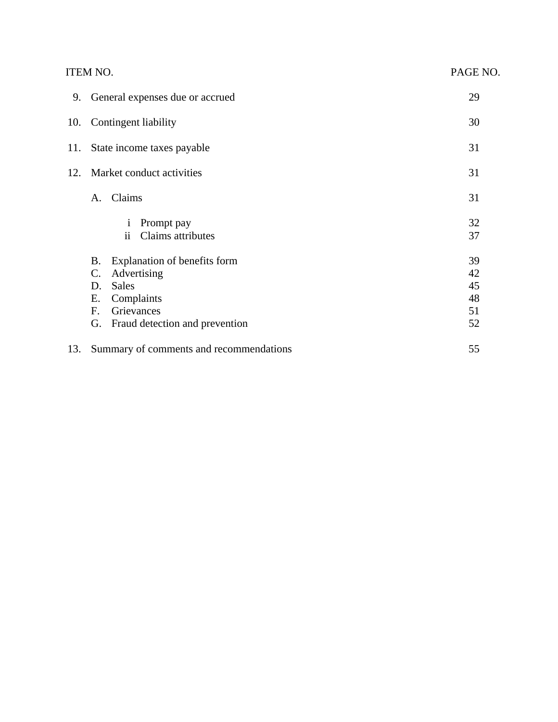<span id="page-2-0"></span>

|     | <b>ITEM NO.</b>                                                                                                                                                           | PAGE NO.                         |
|-----|---------------------------------------------------------------------------------------------------------------------------------------------------------------------------|----------------------------------|
| 9.  | General expenses due or accrued                                                                                                                                           | 29                               |
| 10. | Contingent liability                                                                                                                                                      | 30                               |
| 11. | State income taxes payable                                                                                                                                                | 31                               |
| 12. | Market conduct activities                                                                                                                                                 | 31                               |
|     | Claims<br>A.                                                                                                                                                              | 31                               |
|     | Prompt pay<br>$\mathbf{1}$<br>Claims attributes<br>$\mathbf{ii}$                                                                                                          | 32<br>37                         |
|     | Explanation of benefits form<br>B.<br>Advertising<br>$\mathbf{C}$ .<br><b>Sales</b><br>D.<br>Complaints<br>Е.<br>Grievances<br>F.<br>Fraud detection and prevention<br>G. | 39<br>42<br>45<br>48<br>51<br>52 |
| 13. | Summary of comments and recommendations                                                                                                                                   | 55                               |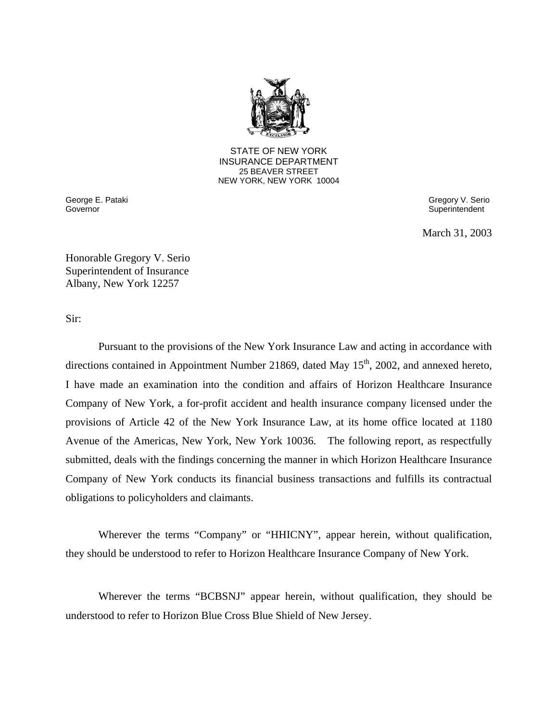

**25 BEAVER STREET** STATE OF NEW YORK INSURANCE DEPARTMENT NEW YORK, NEW YORK 10004

Governor

 George E. Pataki Gregory V. Serio Superintendent

March 31, 2003

Honorable Gregory V. Serio Superintendent of Insurance Albany, New York 12257

Sir:

Pursuant to the provisions of the New York Insurance Law and acting in accordance with directions contained in Appointment Number 21869, dated May  $15<sup>th</sup>$ , 2002, and annexed hereto, I have made an examination into the condition and affairs of Horizon Healthcare Insurance Company of New York, a for-profit accident and health insurance company licensed under the provisions of Article 42 of the New York Insurance Law, at its home office located at 1180 Avenue of the Americas, New York, New York 10036. The following report, as respectfully submitted, deals with the findings concerning the manner in which Horizon Healthcare Insurance Company of New York conducts its financial business transactions and fulfills its contractual obligations to policyholders and claimants.

Wherever the terms "Company" or "HHICNY", appear herein, without qualification, they should be understood to refer to Horizon Healthcare Insurance Company of New York.

Wherever the terms "BCBSNJ" appear herein, without qualification, they should be understood to refer to Horizon Blue Cross Blue Shield of New Jersey.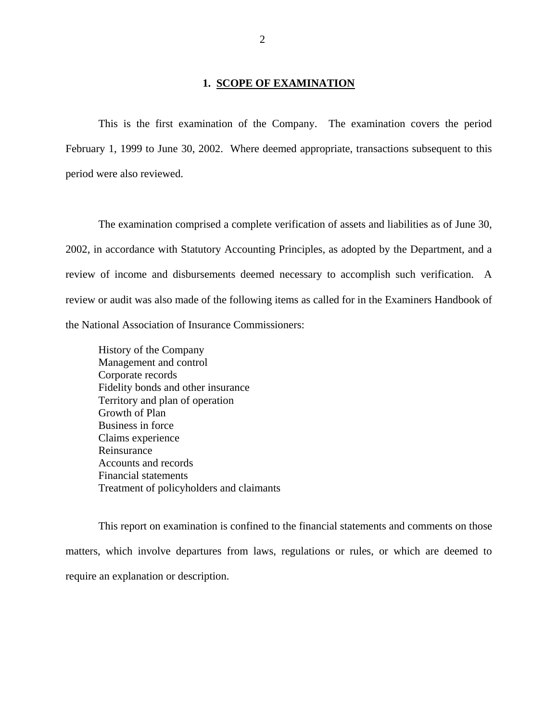#### **1. SCOPE OF EXAMINATION**

This is the first examination of the Company. The examination covers the period February 1, 1999 to June 30, 2002. Where deemed appropriate, transactions subsequent to this period were also reviewed.

The examination comprised a complete verification of assets and liabilities as of June 30, 2002, in accordance with Statutory Accounting Principles, as adopted by the Department, and a review of income and disbursements deemed necessary to accomplish such verification. A review or audit was also made of the following items as called for in the Examiners Handbook of the National Association of Insurance Commissioners:

History of the Company Management and control Corporate records Fidelity bonds and other insurance Territory and plan of operation Growth of Plan Business in force Claims experience Reinsurance Accounts and records Financial statements Treatment of policyholders and claimants

This report on examination is confined to the financial statements and comments on those matters, which involve departures from laws, regulations or rules, or which are deemed to require an explanation or description.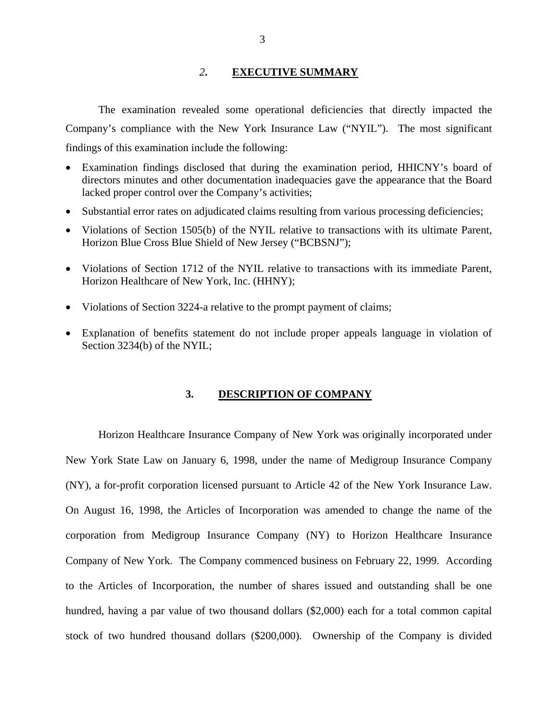#### *2***. EXECUTIVE SUMMARY**

The examination revealed some operational deficiencies that directly impacted the Company's compliance with the New York Insurance Law ("NYIL"). The most significant findings of this examination include the following:

- Examination findings disclosed that during the examination period, HHICNY's board of directors minutes and other documentation inadequacies gave the appearance that the Board lacked proper control over the Company's activities;
- Substantial error rates on adjudicated claims resulting from various processing deficiencies;
- Violations of Section 1505(b) of the NYIL relative to transactions with its ultimate Parent, Horizon Blue Cross Blue Shield of New Jersey ("BCBSNJ");
- Violations of Section 1712 of the NYIL relative to transactions with its immediate Parent, Horizon Healthcare of New York, Inc. (HHNY);
- Violations of Section 3224-a relative to the prompt payment of claims;
- Explanation of benefits statement do not include proper appeals language in violation of Section 3234(b) of the NYIL;

#### **3. DESCRIPTION OF COMPANY**

 (NY), a for-profit corporation licensed pursuant to Article 42 of the New York Insurance Law. On August 16, 1998, the Articles of Incorporation was amended to change the name of the Horizon Healthcare Insurance Company of New York was originally incorporated under New York State Law on January 6, 1998, under the name of Medigroup Insurance Company corporation from Medigroup Insurance Company (NY) to Horizon Healthcare Insurance Company of New York. The Company commenced business on February 22, 1999. According to the Articles of Incorporation, the number of shares issued and outstanding shall be one hundred, having a par value of two thousand dollars (\$2,000) each for a total common capital stock of two hundred thousand dollars (\$200,000). Ownership of the Company is divided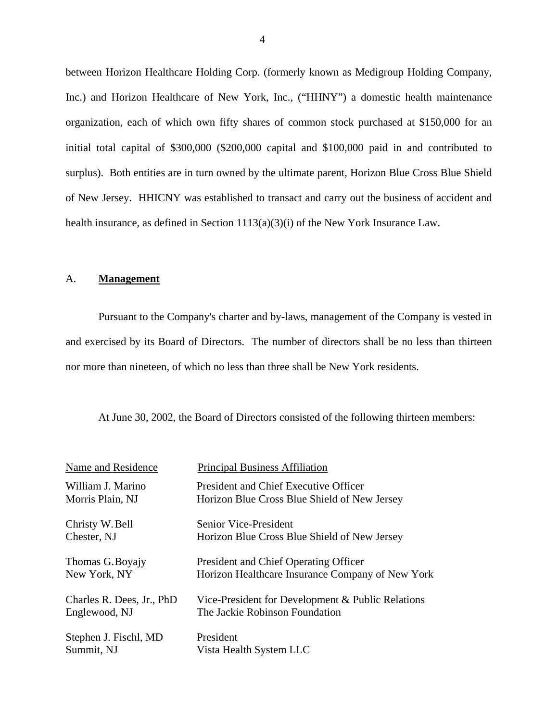between Horizon Healthcare Holding Corp. (formerly known as Medigroup Holding Company, Inc.) and Horizon Healthcare of New York, Inc., ("HHNY") a domestic health maintenance organization, each of which own fifty shares of common stock purchased at \$150,000 for an initial total capital of \$300,000 (\$200,000 capital and \$100,000 paid in and contributed to surplus). Both entities are in turn owned by the ultimate parent, Horizon Blue Cross Blue Shield of New Jersey. HHICNY was established to transact and carry out the business of accident and health insurance, as defined in Section 1113(a)(3)(i) of the New York Insurance Law.

#### A. **Management**

Pursuant to the Company's charter and by-laws, management of the Company is vested in and exercised by its Board of Directors. The number of directors shall be no less than thirteen nor more than nineteen, of which no less than three shall be New York residents.

At June 30, 2002, the Board of Directors consisted of the following thirteen members:

| Name and Residence        | <b>Principal Business Affiliation</b>             |
|---------------------------|---------------------------------------------------|
| William J. Marino         | President and Chief Executive Officer             |
| Morris Plain, NJ          | Horizon Blue Cross Blue Shield of New Jersey      |
| Christy W. Bell           | <b>Senior Vice-President</b>                      |
| Chester, NJ               | Horizon Blue Cross Blue Shield of New Jersey      |
| Thomas G. Boyajy          | President and Chief Operating Officer             |
| New York, NY              | Horizon Healthcare Insurance Company of New York  |
| Charles R. Dees, Jr., PhD | Vice-President for Development & Public Relations |
| Englewood, NJ             | The Jackie Robinson Foundation                    |
| Stephen J. Fischl, MD     | President                                         |
| Summit, NJ                | Vista Health System LLC                           |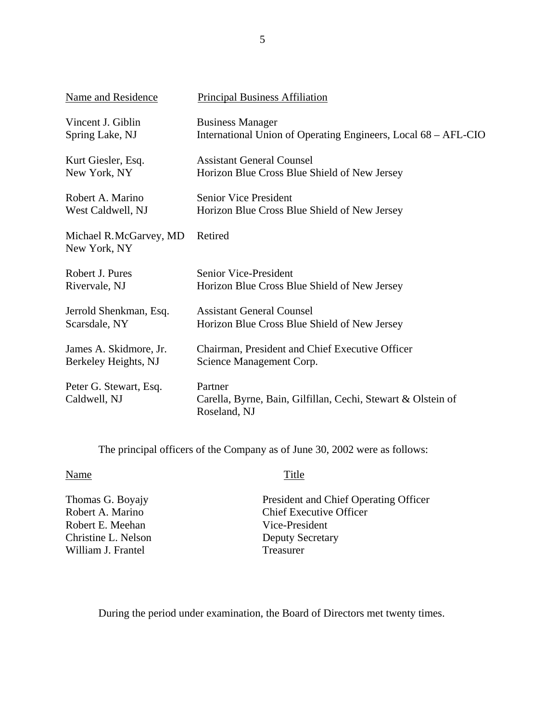| Name and Residence                     | <b>Principal Business Affiliation</b>                                                   |
|----------------------------------------|-----------------------------------------------------------------------------------------|
| Vincent J. Giblin                      | <b>Business Manager</b>                                                                 |
| Spring Lake, NJ                        | International Union of Operating Engineers, Local 68 – AFL-CIO                          |
| Kurt Giesler, Esq.                     | <b>Assistant General Counsel</b>                                                        |
| New York, NY                           | Horizon Blue Cross Blue Shield of New Jersey                                            |
| Robert A. Marino                       | <b>Senior Vice President</b>                                                            |
| West Caldwell, NJ                      | Horizon Blue Cross Blue Shield of New Jersey                                            |
| Michael R.McGarvey, MD<br>New York, NY | Retired                                                                                 |
| Robert J. Pures                        | <b>Senior Vice-President</b>                                                            |
| Rivervale, NJ                          | Horizon Blue Cross Blue Shield of New Jersey                                            |
| Jerrold Shenkman, Esq.                 | <b>Assistant General Counsel</b>                                                        |
| Scarsdale, NY                          | Horizon Blue Cross Blue Shield of New Jersey                                            |
| James A. Skidmore, Jr.                 | Chairman, President and Chief Executive Officer                                         |
| Berkeley Heights, NJ                   | Science Management Corp.                                                                |
| Peter G. Stewart, Esq.<br>Caldwell, NJ | Partner<br>Carella, Byrne, Bain, Gilfillan, Cechi, Stewart & Olstein of<br>Roseland, NJ |

The principal officers of the Company as of June 30, 2002 were as follows:

#### Name

Robert A. Marino Thomas G. Boyajy Robert E. Meehan Christine L. Nelson William J. Frantel

#### **Title**

President and Chief Operating Officer Chief Executive Officer Vice-President Deputy Secretary Treasurer

During the period under examination, the Board of Directors met twenty times.

5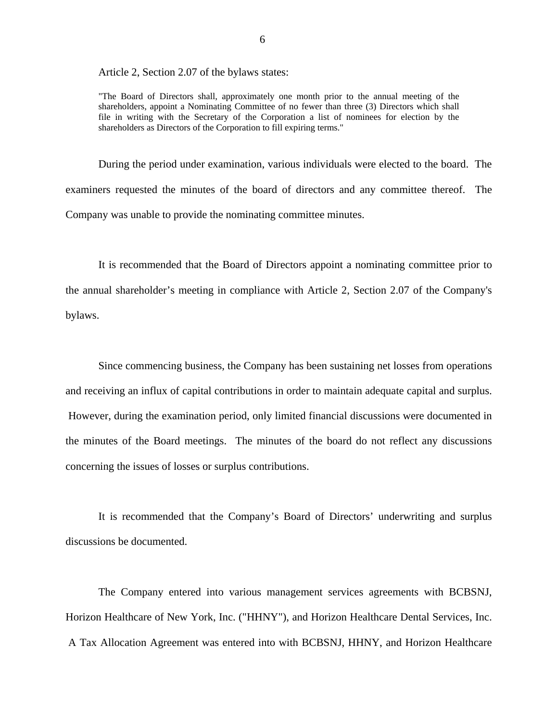Article 2, Section 2.07 of the bylaws states:

"The Board of Directors shall, approximately one month prior to the annual meeting of the shareholders, appoint a Nominating Committee of no fewer than three (3) Directors which shall file in writing with the Secretary of the Corporation a list of nominees for election by the shareholders as Directors of the Corporation to fill expiring terms."

During the period under examination, various individuals were elected to the board. The examiners requested the minutes of the board of directors and any committee thereof. The Company was unable to provide the nominating committee minutes.

It is recommended that the Board of Directors appoint a nominating committee prior to the annual shareholder's meeting in compliance with Article 2, Section 2.07 of the Company's bylaws.

Since commencing business, the Company has been sustaining net losses from operations and receiving an influx of capital contributions in order to maintain adequate capital and surplus. However, during the examination period, only limited financial discussions were documented in the minutes of the Board meetings. The minutes of the board do not reflect any discussions concerning the issues of losses or surplus contributions.

It is recommended that the Company's Board of Directors' underwriting and surplus discussions be documented.

The Company entered into various management services agreements with BCBSNJ, Horizon Healthcare of New York, Inc. ("HHNY"), and Horizon Healthcare Dental Services, Inc. A Tax Allocation Agreement was entered into with BCBSNJ, HHNY, and Horizon Healthcare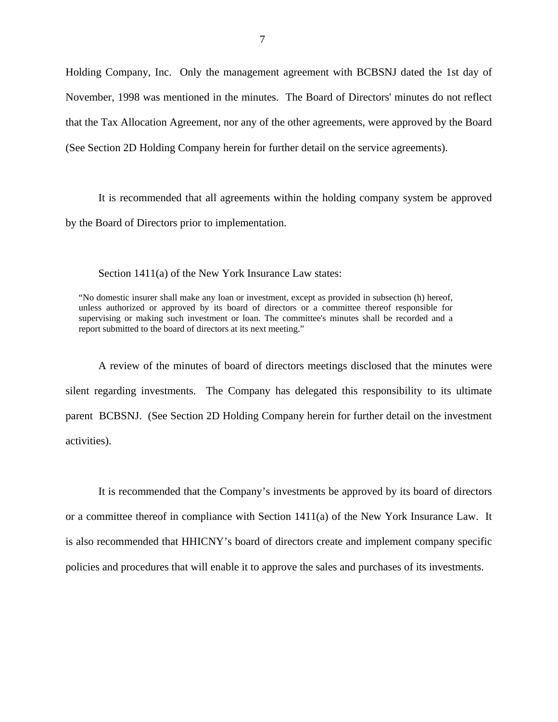Holding Company, Inc. Only the management agreement with BCBSNJ dated the 1st day of November, 1998 was mentioned in the minutes. The Board of Directors' minutes do not reflect that the Tax Allocation Agreement, nor any of the other agreements, were approved by the Board (See Section 2D Holding Company herein for further detail on the service agreements).

It is recommended that all agreements within the holding company system be approved by the Board of Directors prior to implementation.

Section 1411(a) of the New York Insurance Law states:

"No domestic insurer shall make any loan or investment, except as provided in subsection (h) hereof, unless authorized or approved by its board of directors or a committee thereof responsible for supervising or making such investment or loan. The committee's minutes shall be recorded and a report submitted to the board of directors at its next meeting."

A review of the minutes of board of directors meetings disclosed that the minutes were silent regarding investments. The Company has delegated this responsibility to its ultimate parent BCBSNJ. (See Section 2D Holding Company herein for further detail on the investment activities).

It is recommended that the Company's investments be approved by its board of directors or a committee thereof in compliance with Section 1411(a) of the New York Insurance Law. It is also recommended that HHICNY's board of directors create and implement company specific policies and procedures that will enable it to approve the sales and purchases of its investments.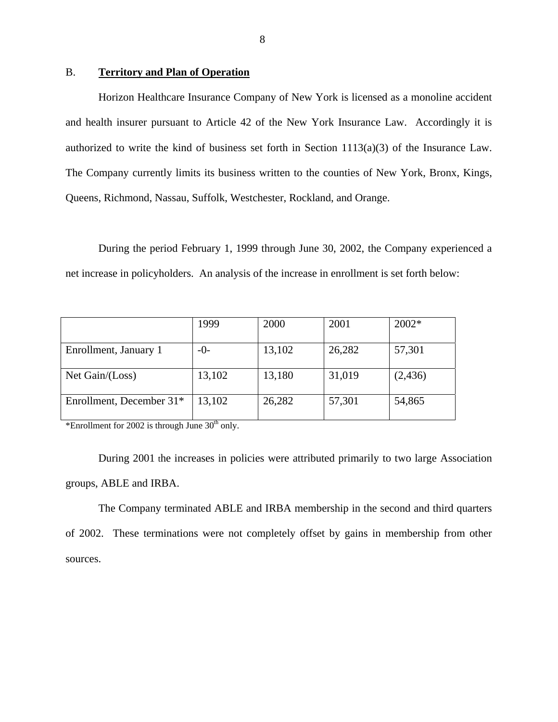#### B. **Territory and Plan of Operation**

Horizon Healthcare Insurance Company of New York is licensed as a monoline accident and health insurer pursuant to Article 42 of the New York Insurance Law. Accordingly it is authorized to write the kind of business set forth in Section 1113(a)(3) of the Insurance Law. The Company currently limits its business written to the counties of New York, Bronx, Kings, Queens, Richmond, Nassau, Suffolk, Westchester, Rockland, and Orange.

During the period February 1, 1999 through June 30, 2002, the Company experienced a net increase in policyholders. An analysis of the increase in enrollment is set forth below:

|                          | 1999   | 2000   | 2001   | 2002*    |
|--------------------------|--------|--------|--------|----------|
| Enrollment, January 1    | $-0-$  | 13,102 | 26,282 | 57,301   |
| Net Gain/(Loss)          | 13,102 | 13,180 | 31,019 | (2, 436) |
| Enrollment, December 31* | 13,102 | 26,282 | 57,301 | 54,865   |

\*Enrollment for 2002 is through June  $30<sup>th</sup>$  only.

During 2001 the increases in policies were attributed primarily to two large Association groups, ABLE and IRBA.

The Company terminated ABLE and IRBA membership in the second and third quarters of 2002. These terminations were not completely offset by gains in membership from other sources.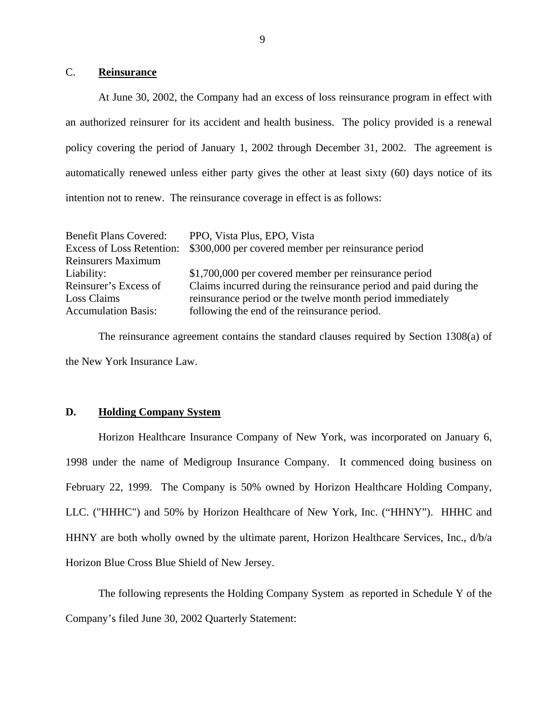#### C. **Reinsurance**

At June 30, 2002, the Company had an excess of loss reinsurance program in effect with an authorized reinsurer for its accident and health business. The policy provided is a renewal policy covering the period of January 1, 2002 through December 31, 2002. The agreement is automatically renewed unless either party gives the other at least sixty (60) days notice of its intention not to renew. The reinsurance coverage in effect is as follows:

| <b>Benefit Plans Covered:</b>    | PPO, Vista Plus, EPO, Vista                                       |
|----------------------------------|-------------------------------------------------------------------|
| <b>Excess of Loss Retention:</b> | \$300,000 per covered member per reinsurance period               |
| <b>Reinsurers Maximum</b>        |                                                                   |
| Liability:                       | \$1,700,000 per covered member per reinsurance period             |
| Reinsurer's Excess of            | Claims incurred during the reinsurance period and paid during the |
| Loss Claims                      | reinsurance period or the twelve month period immediately         |
| <b>Accumulation Basis:</b>       | following the end of the reinsurance period.                      |

The reinsurance agreement contains the standard clauses required by Section 1308(a) of the New York Insurance Law.

#### **D. Holding Company System**

Horizon Healthcare Insurance Company of New York, was incorporated on January 6, 1998 under the name of Medigroup Insurance Company. It commenced doing business on February 22, 1999. The Company is 50% owned by Horizon Healthcare Holding Company, LLC. ("HHHC") and 50% by Horizon Healthcare of New York, Inc. ("HHNY"). HHHC and HHNY are both wholly owned by the ultimate parent, Horizon Healthcare Services, Inc., d/b/a Horizon Blue Cross Blue Shield of New Jersey.

The following represents the Holding Company System as reported in Schedule Y of the Company's filed June 30, 2002 Quarterly Statement: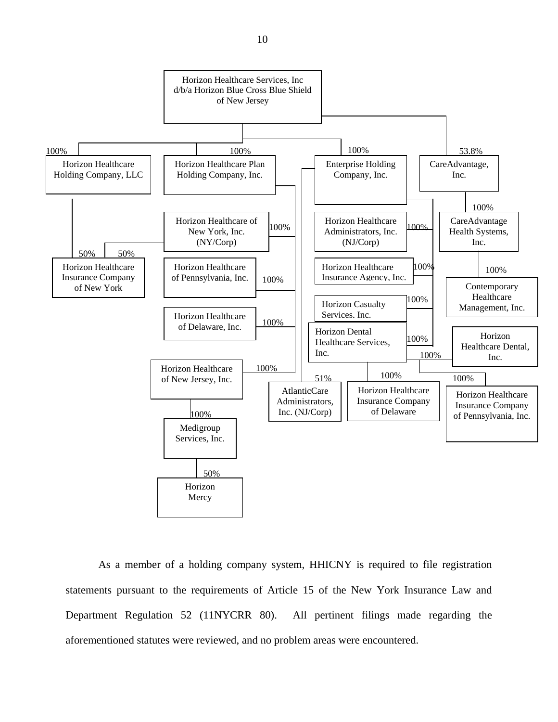

As a member of a holding company system, HHICNY is required to file registration statements pursuant to the requirements of Article 15 of the New York Insurance Law and Department Regulation 52 (11NYCRR 80). All pertinent filings made regarding the aforementioned statutes were reviewed, and no problem areas were encountered.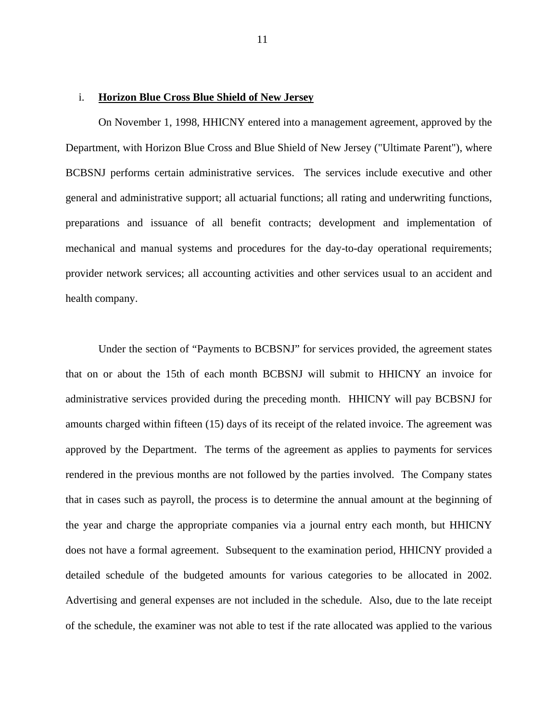#### i. **Horizon Blue Cross Blue Shield of New Jersey**

On November 1, 1998, HHICNY entered into a management agreement, approved by the Department, with Horizon Blue Cross and Blue Shield of New Jersey ("Ultimate Parent"), where BCBSNJ performs certain administrative services. The services include executive and other general and administrative support; all actuarial functions; all rating and underwriting functions, preparations and issuance of all benefit contracts; development and implementation of mechanical and manual systems and procedures for the day-to-day operational requirements; provider network services; all accounting activities and other services usual to an accident and health company.

Under the section of "Payments to BCBSNJ" for services provided, the agreement states that on or about the 15th of each month BCBSNJ will submit to HHICNY an invoice for administrative services provided during the preceding month. HHICNY will pay BCBSNJ for amounts charged within fifteen (15) days of its receipt of the related invoice. The agreement was approved by the Department. The terms of the agreement as applies to payments for services rendered in the previous months are not followed by the parties involved. The Company states that in cases such as payroll, the process is to determine the annual amount at the beginning of the year and charge the appropriate companies via a journal entry each month, but HHICNY does not have a formal agreement. Subsequent to the examination period, HHICNY provided a detailed schedule of the budgeted amounts for various categories to be allocated in 2002. Advertising and general expenses are not included in the schedule. Also, due to the late receipt of the schedule, the examiner was not able to test if the rate allocated was applied to the various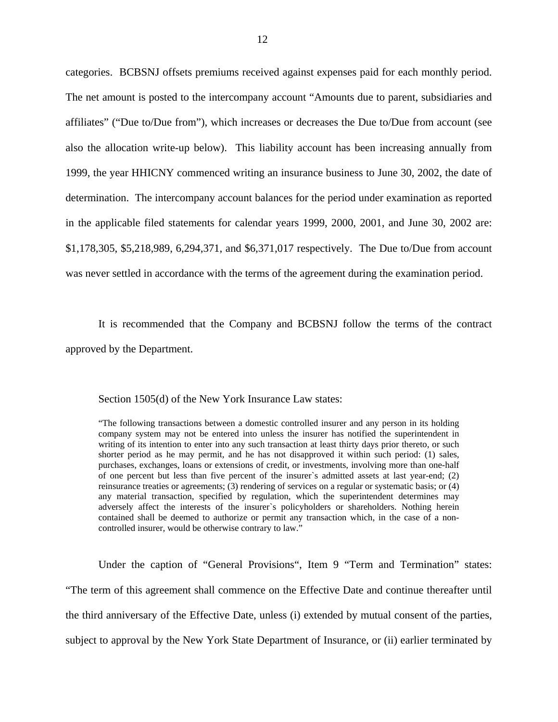categories. BCBSNJ offsets premiums received against expenses paid for each monthly period. The net amount is posted to the intercompany account "Amounts due to parent, subsidiaries and affiliates" ("Due to/Due from"), which increases or decreases the Due to/Due from account (see also the allocation write-up below). This liability account has been increasing annually from 1999, the year HHICNY commenced writing an insurance business to June 30, 2002, the date of determination. The intercompany account balances for the period under examination as reported in the applicable filed statements for calendar years 1999, 2000, 2001, and June 30, 2002 are: \$1,178,305, \$5,218,989, 6,294,371, and \$6,371,017 respectively. The Due to/Due from account was never settled in accordance with the terms of the agreement during the examination period.

It is recommended that the Company and BCBSNJ follow the terms of the contract approved by the Department.

Section 1505(d) of the New York Insurance Law states:

 writing of its intention to enter into any such transaction at least thirty days prior thereto, or such "The following transactions between a domestic controlled insurer and any person in its holding company system may not be entered into unless the insurer has notified the superintendent in shorter period as he may permit, and he has not disapproved it within such period: (1) sales, purchases, exchanges, loans or extensions of credit, or investments, involving more than one-half of one percent but less than five percent of the insurer`s admitted assets at last year-end; (2) reinsurance treaties or agreements; (3) rendering of services on a regular or systematic basis; or (4) any material transaction, specified by regulation, which the superintendent determines may adversely affect the interests of the insurer`s policyholders or shareholders. Nothing herein contained shall be deemed to authorize or permit any transaction which, in the case of a noncontrolled insurer, would be otherwise contrary to law."

Under the caption of "General Provisions", Item 9 "Term and Termination" states: "The term of this agreement shall commence on the Effective Date and continue thereafter until the third anniversary of the Effective Date, unless (i) extended by mutual consent of the parties, subject to approval by the New York State Department of Insurance, or (ii) earlier terminated by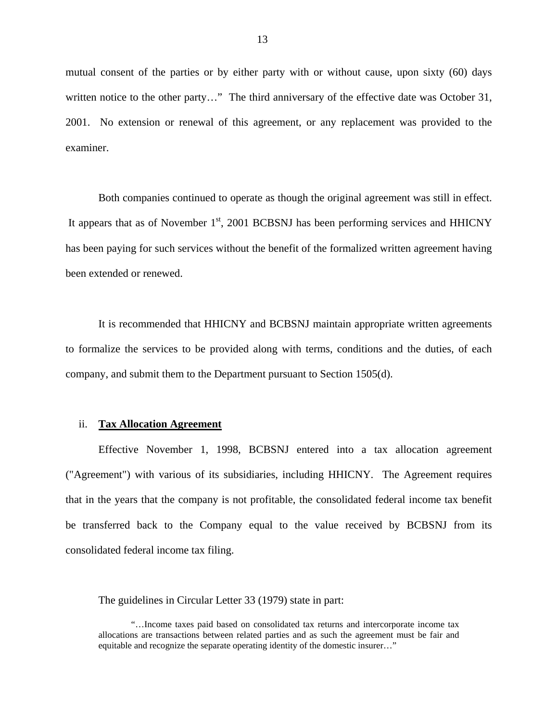mutual consent of the parties or by either party with or without cause, upon sixty (60) days written notice to the other party..." The third anniversary of the effective date was October 31, 2001. No extension or renewal of this agreement, or any replacement was provided to the examiner.

Both companies continued to operate as though the original agreement was still in effect. It appears that as of November  $1<sup>st</sup>$ , 2001 BCBSNJ has been performing services and HHICNY has been paying for such services without the benefit of the formalized written agreement having been extended or renewed.

It is recommended that HHICNY and BCBSNJ maintain appropriate written agreements to formalize the services to be provided along with terms, conditions and the duties, of each company, and submit them to the Department pursuant to Section 1505(d).

#### ii. **Tax Allocation Agreement**

Effective November 1, 1998, BCBSNJ entered into a tax allocation agreement ("Agreement") with various of its subsidiaries, including HHICNY. The Agreement requires that in the years that the company is not profitable, the consolidated federal income tax benefit be transferred back to the Company equal to the value received by BCBSNJ from its consolidated federal income tax filing.

The guidelines in Circular Letter 33 (1979) state in part:

<sup>&</sup>quot;…Income taxes paid based on consolidated tax returns and intercorporate income tax allocations are transactions between related parties and as such the agreement must be fair and equitable and recognize the separate operating identity of the domestic insurer…"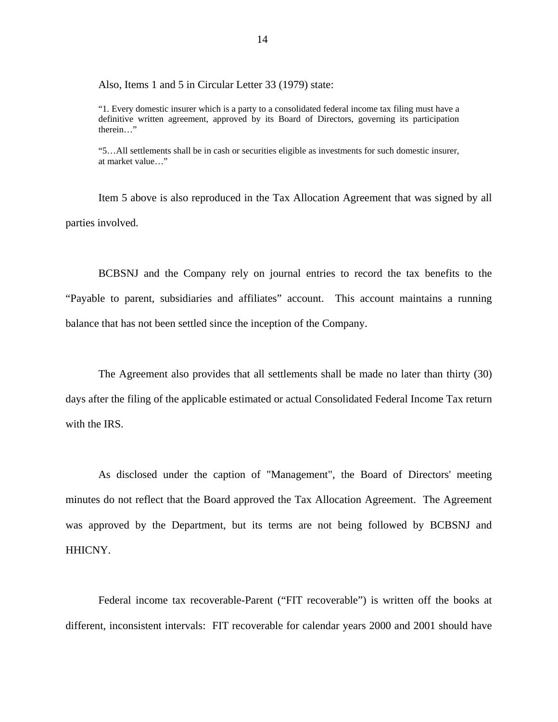Also, Items 1 and 5 in Circular Letter 33 (1979) state:

"1. Every domestic insurer which is a party to a consolidated federal income tax filing must have a definitive written agreement, approved by its Board of Directors, governing its participation therein…"

"5…All settlements shall be in cash or securities eligible as investments for such domestic insurer, at market value…"

Item 5 above is also reproduced in the Tax Allocation Agreement that was signed by all parties involved.

BCBSNJ and the Company rely on journal entries to record the tax benefits to the "Payable to parent, subsidiaries and affiliates" account. This account maintains a running balance that has not been settled since the inception of the Company.

The Agreement also provides that all settlements shall be made no later than thirty (30) days after the filing of the applicable estimated or actual Consolidated Federal Income Tax return with the IRS.

As disclosed under the caption of "Management", the Board of Directors' meeting minutes do not reflect that the Board approved the Tax Allocation Agreement. The Agreement was approved by the Department, but its terms are not being followed by BCBSNJ and HHICNY.

Federal income tax recoverable-Parent ("FIT recoverable") is written off the books at different, inconsistent intervals: FIT recoverable for calendar years 2000 and 2001 should have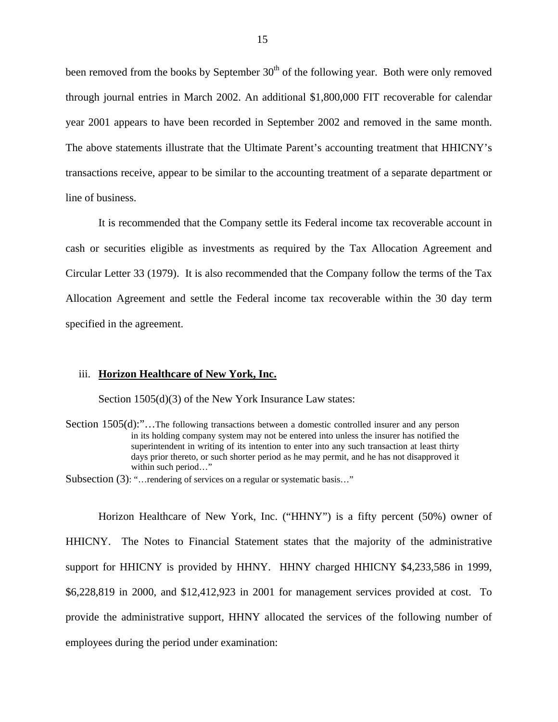been removed from the books by September  $30<sup>th</sup>$  of the following year. Both were only removed through journal entries in March 2002. An additional \$1,800,000 FIT recoverable for calendar year 2001 appears to have been recorded in September 2002 and removed in the same month. The above statements illustrate that the Ultimate Parent's accounting treatment that HHICNY's transactions receive, appear to be similar to the accounting treatment of a separate department or line of business.

It is recommended that the Company settle its Federal income tax recoverable account in cash or securities eligible as investments as required by the Tax Allocation Agreement and Circular Letter 33 (1979). It is also recommended that the Company follow the terms of the Tax Allocation Agreement and settle the Federal income tax recoverable within the 30 day term specified in the agreement.

#### iii. **Horizon Healthcare of New York, Inc.**

Section 1505(d)(3) of the New York Insurance Law states:

Section 1505(d):"...The following transactions between a domestic controlled insurer and any person in its holding company system may not be entered into unless the insurer has notified the superintendent in writing of its intention to enter into any such transaction at least thirty days prior thereto, or such shorter period as he may permit, and he has not disapproved it within such period…"

Subsection (3): "…rendering of services on a regular or systematic basis…"

Horizon Healthcare of New York, Inc. ("HHNY") is a fifty percent (50%) owner of HHICNY. The Notes to Financial Statement states that the majority of the administrative support for HHICNY is provided by HHNY. HHNY charged HHICNY \$4,233,586 in 1999, \$6,228,819 in 2000, and \$12,412,923 in 2001 for management services provided at cost. To provide the administrative support, HHNY allocated the services of the following number of employees during the period under examination: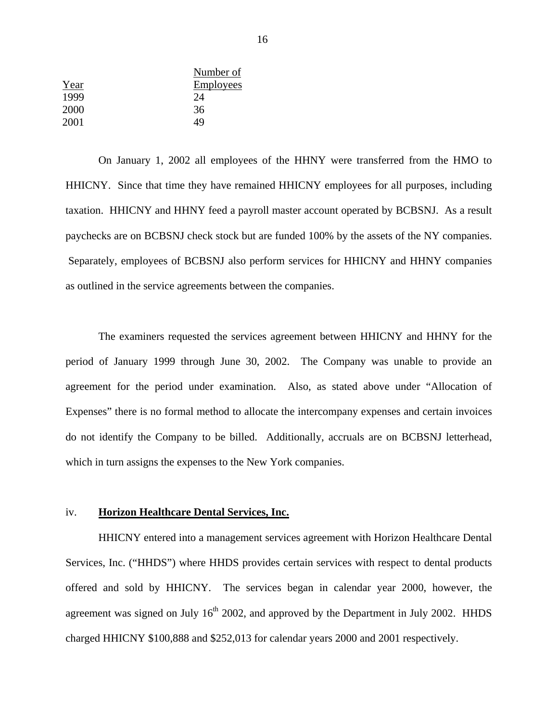| Year | Number of<br><b>Employees</b> |
|------|-------------------------------|
| 1999 | 24                            |
| 2000 | 36                            |
| 2001 | 49                            |

On January 1, 2002 all employees of the HHNY were transferred from the HMO to HHICNY. Since that time they have remained HHICNY employees for all purposes, including taxation. HHICNY and HHNY feed a payroll master account operated by BCBSNJ. As a result paychecks are on BCBSNJ check stock but are funded 100% by the assets of the NY companies. Separately, employees of BCBSNJ also perform services for HHICNY and HHNY companies as outlined in the service agreements between the companies.

The examiners requested the services agreement between HHICNY and HHNY for the period of January 1999 through June 30, 2002. The Company was unable to provide an agreement for the period under examination. Also, as stated above under "Allocation of Expenses" there is no formal method to allocate the intercompany expenses and certain invoices do not identify the Company to be billed. Additionally, accruals are on BCBSNJ letterhead, which in turn assigns the expenses to the New York companies.

#### iv. **Horizon Healthcare Dental Services, Inc.**

HHICNY entered into a management services agreement with Horizon Healthcare Dental Services, Inc. ("HHDS") where HHDS provides certain services with respect to dental products offered and sold by HHICNY. The services began in calendar year 2000, however, the agreement was signed on July  $16<sup>th</sup>$  2002, and approved by the Department in July 2002. HHDS charged HHICNY \$100,888 and \$252,013 for calendar years 2000 and 2001 respectively.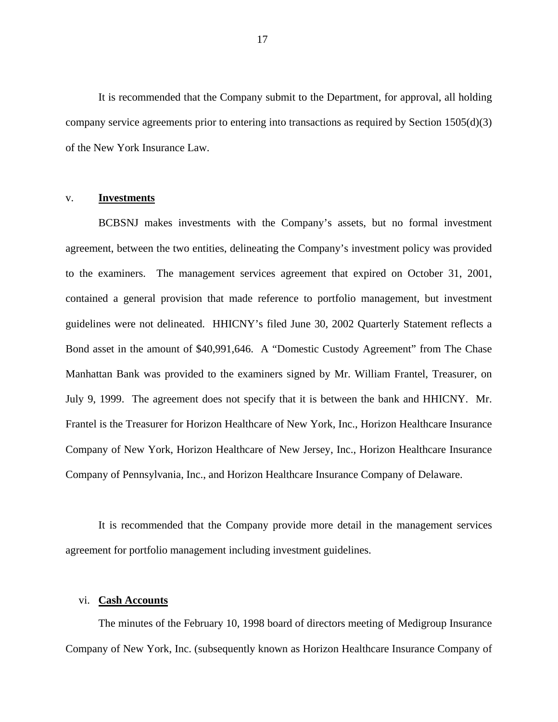It is recommended that the Company submit to the Department, for approval, all holding company service agreements prior to entering into transactions as required by Section 1505(d)(3) of the New York Insurance Law.

#### v. **Investments**

BCBSNJ makes investments with the Company's assets, but no formal investment agreement, between the two entities, delineating the Company's investment policy was provided to the examiners. The management services agreement that expired on October 31, 2001, contained a general provision that made reference to portfolio management, but investment guidelines were not delineated. HHICNY's filed June 30, 2002 Quarterly Statement reflects a Bond asset in the amount of \$40,991,646. A "Domestic Custody Agreement" from The Chase Manhattan Bank was provided to the examiners signed by Mr. William Frantel, Treasurer, on July 9, 1999. The agreement does not specify that it is between the bank and HHICNY. Mr. Frantel is the Treasurer for Horizon Healthcare of New York, Inc., Horizon Healthcare Insurance Company of New York, Horizon Healthcare of New Jersey, Inc., Horizon Healthcare Insurance Company of Pennsylvania, Inc., and Horizon Healthcare Insurance Company of Delaware.

It is recommended that the Company provide more detail in the management services agreement for portfolio management including investment guidelines.

#### vi. **Cash Accounts**

The minutes of the February 10, 1998 board of directors meeting of Medigroup Insurance Company of New York, Inc. (subsequently known as Horizon Healthcare Insurance Company of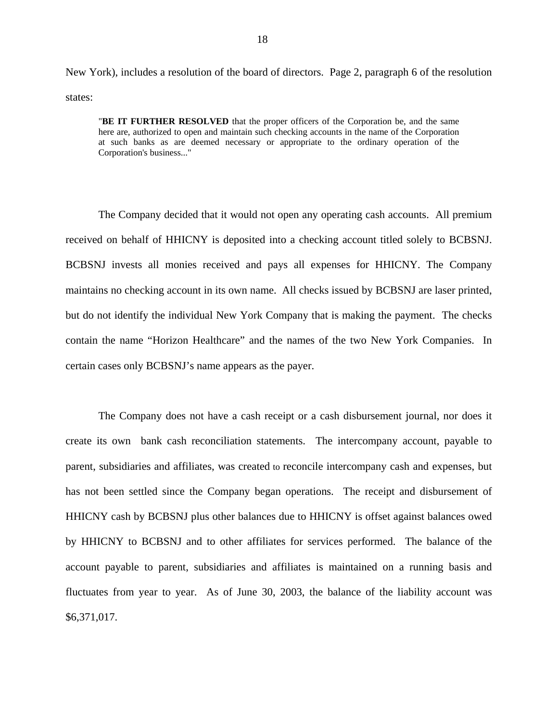New York), includes a resolution of the board of directors. Page 2, paragraph 6 of the resolution states:

"**BE IT FURTHER RESOLVED** that the proper officers of the Corporation be, and the same here are, authorized to open and maintain such checking accounts in the name of the Corporation at such banks as are deemed necessary or appropriate to the ordinary operation of the Corporation's business..."

The Company decided that it would not open any operating cash accounts. All premium received on behalf of HHICNY is deposited into a checking account titled solely to BCBSNJ. BCBSNJ invests all monies received and pays all expenses for HHICNY. The Company maintains no checking account in its own name. All checks issued by BCBSNJ are laser printed, but do not identify the individual New York Company that is making the payment. The checks contain the name "Horizon Healthcare" and the names of the two New York Companies. In certain cases only BCBSNJ's name appears as the payer.

The Company does not have a cash receipt or a cash disbursement journal, nor does it create its own bank cash reconciliation statements. The intercompany account, payable to parent, subsidiaries and affiliates, was created to reconcile intercompany cash and expenses, but has not been settled since the Company began operations. The receipt and disbursement of HHICNY cash by BCBSNJ plus other balances due to HHICNY is offset against balances owed by HHICNY to BCBSNJ and to other affiliates for services performed. The balance of the account payable to parent, subsidiaries and affiliates is maintained on a running basis and fluctuates from year to year. As of June 30, 2003, the balance of the liability account was \$6,371,017.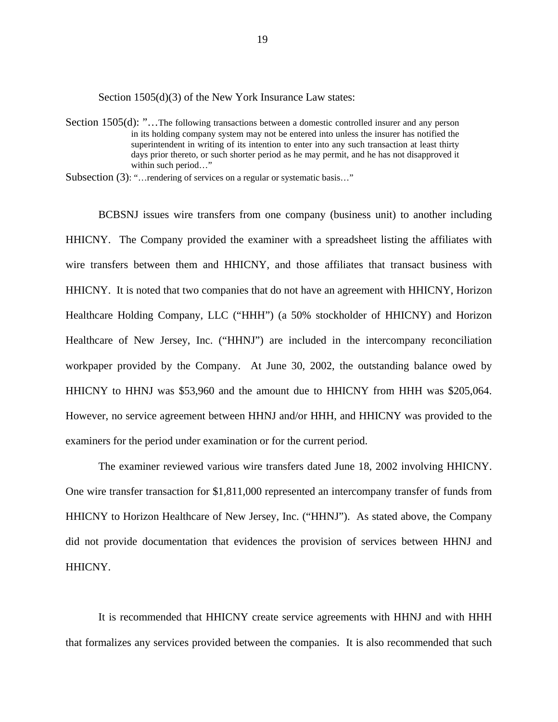Section 1505(d)(3) of the New York Insurance Law states:

Section 1505(d): "...The following transactions between a domestic controlled insurer and any person in its holding company system may not be entered into unless the insurer has notified the superintendent in writing of its intention to enter into any such transaction at least thirty days prior thereto, or such shorter period as he may permit, and he has not disapproved it within such period…"

Subsection (3): "... rendering of services on a regular or systematic basis..."

 HHICNY to HHNJ was \$53,960 and the amount due to HHICNY from HHH was \$205,064. However, no service agreement between HHNJ and/or HHH, and HHICNY was provided to the BCBSNJ issues wire transfers from one company (business unit) to another including HHICNY. The Company provided the examiner with a spreadsheet listing the affiliates with wire transfers between them and HHICNY, and those affiliates that transact business with HHICNY. It is noted that two companies that do not have an agreement with HHICNY, Horizon Healthcare Holding Company, LLC ("HHH") (a 50% stockholder of HHICNY) and Horizon Healthcare of New Jersey, Inc. ("HHNJ") are included in the intercompany reconciliation workpaper provided by the Company. At June 30, 2002, the outstanding balance owed by examiners for the period under examination or for the current period.

The examiner reviewed various wire transfers dated June 18, 2002 involving HHICNY. One wire transfer transaction for \$1,811,000 represented an intercompany transfer of funds from HHICNY to Horizon Healthcare of New Jersey, Inc. ("HHNJ"). As stated above, the Company did not provide documentation that evidences the provision of services between HHNJ and HHICNY.

It is recommended that HHICNY create service agreements with HHNJ and with HHH that formalizes any services provided between the companies. It is also recommended that such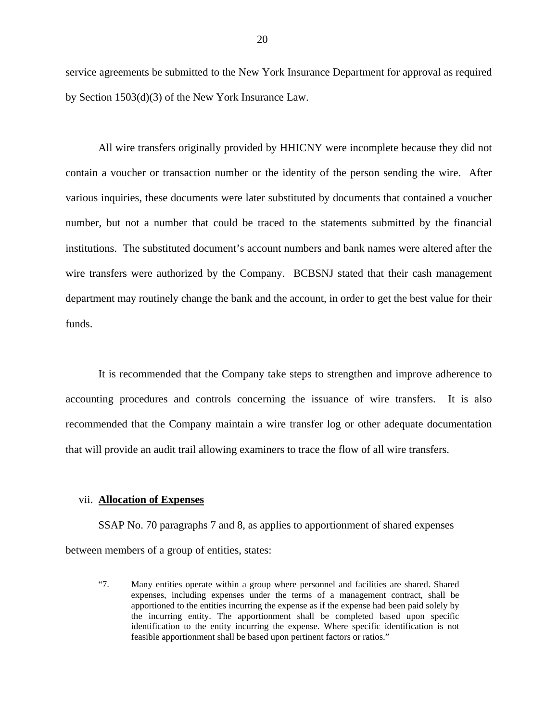service agreements be submitted to the New York Insurance Department for approval as required by Section 1503(d)(3) of the New York Insurance Law.

All wire transfers originally provided by HHICNY were incomplete because they did not contain a voucher or transaction number or the identity of the person sending the wire. After various inquiries, these documents were later substituted by documents that contained a voucher number, but not a number that could be traced to the statements submitted by the financial institutions. The substituted document's account numbers and bank names were altered after the wire transfers were authorized by the Company. BCBSNJ stated that their cash management department may routinely change the bank and the account, in order to get the best value for their funds.

It is recommended that the Company take steps to strengthen and improve adherence to accounting procedures and controls concerning the issuance of wire transfers. It is also recommended that the Company maintain a wire transfer log or other adequate documentation that will provide an audit trail allowing examiners to trace the flow of all wire transfers.

#### vii. **Allocation of Expenses**

SSAP No. 70 paragraphs 7 and 8, as applies to apportionment of shared expenses between members of a group of entities, states:

 feasible apportionment shall be based upon pertinent factors or ratios." "7. Many entities operate within a group where personnel and facilities are shared. Shared expenses, including expenses under the terms of a management contract, shall be apportioned to the entities incurring the expense as if the expense had been paid solely by the incurring entity. The apportionment shall be completed based upon specific identification to the entity incurring the expense. Where specific identification is not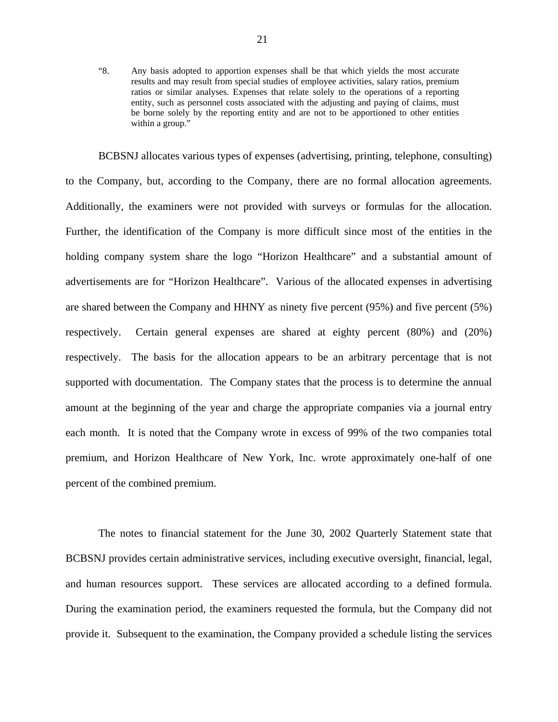"8. Any basis adopted to apportion expenses shall be that which yields the most accurate results and may result from special studies of employee activities, salary ratios, premium ratios or similar analyses. Expenses that relate solely to the operations of a reporting entity, such as personnel costs associated with the adjusting and paying of claims, must be borne solely by the reporting entity and are not to be apportioned to other entities within a group."

to the Company, but, according to the Company, there are no formal allocation agreements. BCBSNJ allocates various types of expenses (advertising, printing, telephone, consulting) to the Company, but, according to the Company, there are no formal allocation agreements.<br>Additionally, the examiners were not provided with surveys or formulas for the allocation.<br>Further, the identification of the Compan holding company system share the logo "Horizon Healthcare" and a substantial amount of advertisements are for "Horizon Healthcare". Various of the allocated expenses in advertising are shared between the Company and HHNY as ninety five percent (95%) and five percent (5%) respectively. Certain general expenses are shared at eighty percent (80%) and (20%) respectively. The basis for the allocation appears to be an arbitrary percentage that is not supported with documentation. The Company states that the process is to determine the annual amount at the beginning of the year and charge the appropriate companies via a journal entry each month. It is noted that the Company wrote in excess of 99% of the two companies total premium, and Horizon Healthcare of New York, Inc. wrote approximately one-half of one percent of the combined premium.

The notes to financial statement for the June 30, 2002 Quarterly Statement state that BCBSNJ provides certain administrative services, including executive oversight, financial, legal, and human resources support. These services are allocated according to a defined formula. During the examination period, the examiners requested the formula, but the Company did not provide it. Subsequent to the examination, the Company provided a schedule listing the services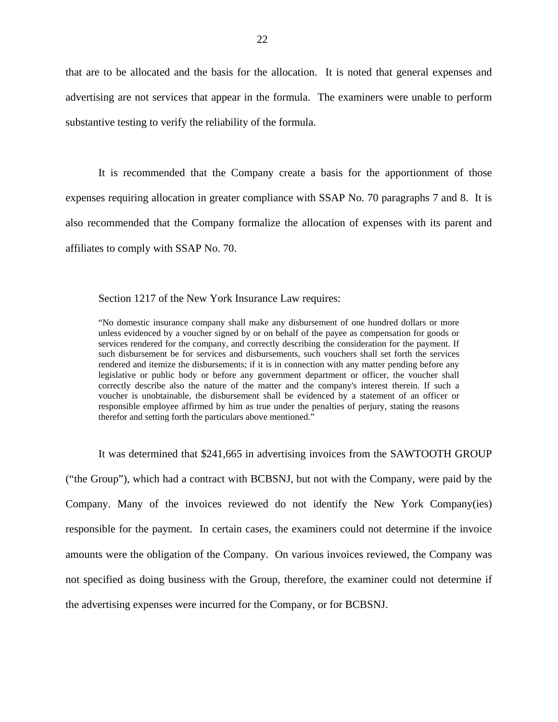that are to be allocated and the basis for the allocation. It is noted that general expenses and advertising are not services that appear in the formula. The examiners were unable to perform substantive testing to verify the reliability of the formula.

It is recommended that the Company create a basis for the apportionment of those expenses requiring allocation in greater compliance with SSAP No. 70 paragraphs 7 and 8. It is also recommended that the Company formalize the allocation of expenses with its parent and affiliates to comply with SSAP No. 70.

Section 1217 of the New York Insurance Law requires:

 "No domestic insurance company shall make any disbursement of one hundred dollars or more unless evidenced by a voucher signed by or on behalf of the payee as compensation for goods or legislative or public body or before any government department or officer, the voucher shall services rendered for the company, and correctly describing the consideration for the payment. If such disbursement be for services and disbursements, such vouchers shall set forth the services rendered and itemize the disbursements; if it is in connection with any matter pending before any correctly describe also the nature of the matter and the company's interest therein. If such a voucher is unobtainable, the disbursement shall be evidenced by a statement of an officer or responsible employee affirmed by him as true under the penalties of perjury, stating the reasons therefor and setting forth the particulars above mentioned."

It was determined that \$241,665 in advertising invoices from the SAWTOOTH GROUP

("the Group"), which had a contract with BCBSNJ, but not with the Company, were paid by the Company. Many of the invoices reviewed do not identify the New York Company(ies) responsible for the payment. In certain cases, the examiners could not determine if the invoice amounts were the obligation of the Company. On various invoices reviewed, the Company was not specified as doing business with the Group, therefore, the examiner could not determine if the advertising expenses were incurred for the Company, or for BCBSNJ.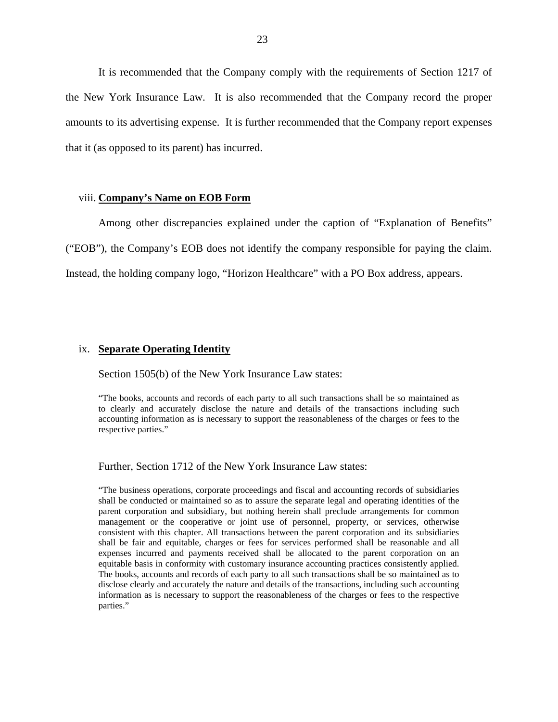It is recommended that the Company comply with the requirements of Section 1217 of the New York Insurance Law. It is also recommended that the Company record the proper amounts to its advertising expense. It is further recommended that the Company report expenses that it (as opposed to its parent) has incurred.

#### viii. **Company's Name on EOB Form**

 ("EOB"), the Company's EOB does not identify the company responsible for paying the claim. Instead, the holding company logo, "Horizon Healthcare" with a PO Box address, appears. Among other discrepancies explained under the caption of "Explanation of Benefits"

#### ix. **Separate Operating Identity**

Section 1505(b) of the New York Insurance Law states:

"The books, accounts and records of each party to all such transactions shall be so maintained as to clearly and accurately disclose the nature and details of the transactions including such accounting information as is necessary to support the reasonableness of the charges or fees to the respective parties."

Further, Section 1712 of the New York Insurance Law states:

"The business operations, corporate proceedings and fiscal and accounting records of subsidiaries shall be conducted or maintained so as to assure the separate legal and operating identities of the parent corporation and subsidiary, but nothing herein shall preclude arrangements for common management or the cooperative or joint use of personnel, property, or services, otherwise consistent with this chapter. All transactions between the parent corporation and its subsidiaries shall be fair and equitable, charges or fees for services performed shall be reasonable and all expenses incurred and payments received shall be allocated to the parent corporation on an equitable basis in conformity with customary insurance accounting practices consistently applied. The books, accounts and records of each party to all such transactions shall be so maintained as to disclose clearly and accurately the nature and details of the transactions, including such accounting information as is necessary to support the reasonableness of the charges or fees to the respective parties."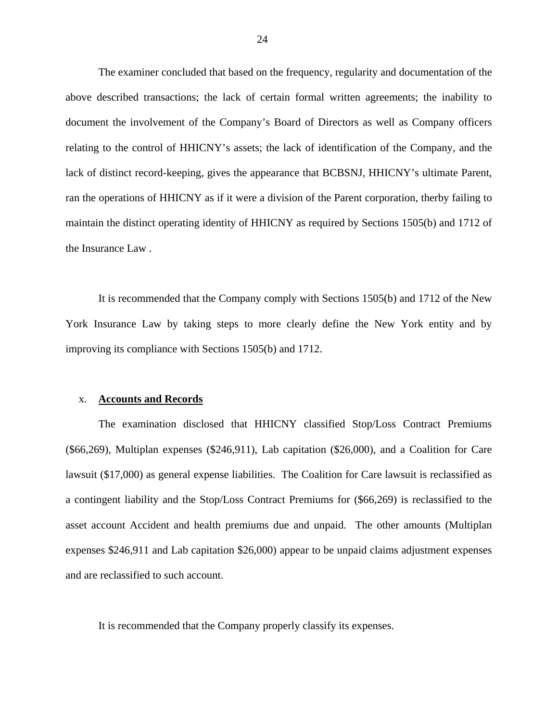The examiner concluded that based on the frequency, regularity and documentation of the above described transactions; the lack of certain formal written agreements; the inability to document the involvement of the Company's Board of Directors as well as Company officers relating to the control of HHICNY's assets; the lack of identification of the Company, and the lack of distinct record-keeping, gives the appearance that BCBSNJ, HHICNY's ultimate Parent, ran the operations of HHICNY as if it were a division of the Parent corporation, therby failing to maintain the distinct operating identity of HHICNY as required by Sections 1505(b) and 1712 of the Insurance Law .

It is recommended that the Company comply with Sections 1505(b) and 1712 of the New York Insurance Law by taking steps to more clearly define the New York entity and by improving its compliance with Sections 1505(b) and 1712.

#### x. **Accounts and Records**

The examination disclosed that HHICNY classified Stop/Loss Contract Premiums (\$66,269), Multiplan expenses (\$246,911), Lab capitation (\$26,000), and a Coalition for Care lawsuit (\$17,000) as general expense liabilities. The Coalition for Care lawsuit is reclassified as a contingent liability and the Stop/Loss Contract Premiums for (\$66,269) is reclassified to the asset account Accident and health premiums due and unpaid. The other amounts (Multiplan expenses \$246,911 and Lab capitation \$26,000) appear to be unpaid claims adjustment expenses and are reclassified to such account.

It is recommended that the Company properly classify its expenses.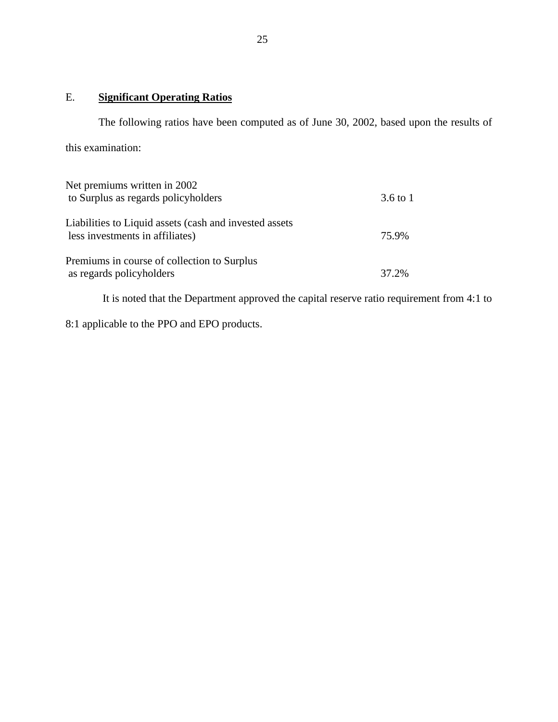# E. **Significant Operating Ratios**

The following ratios have been computed as of June 30, 2002, based upon the results of this examination:

| Net premiums written in 2002<br>to Surplus as regards policyholders                       | $3.6 \text{ to } 1$ |
|-------------------------------------------------------------------------------------------|---------------------|
| Liabilities to Liquid assets (cash and invested assets<br>less investments in affiliates) | 75.9%               |
| Premiums in course of collection to Surplus<br>as regards policyholders                   | 37.2%               |

It is noted that the Department approved the capital reserve ratio requirement from 4:1 to

8:1 applicable to the PPO and EPO products.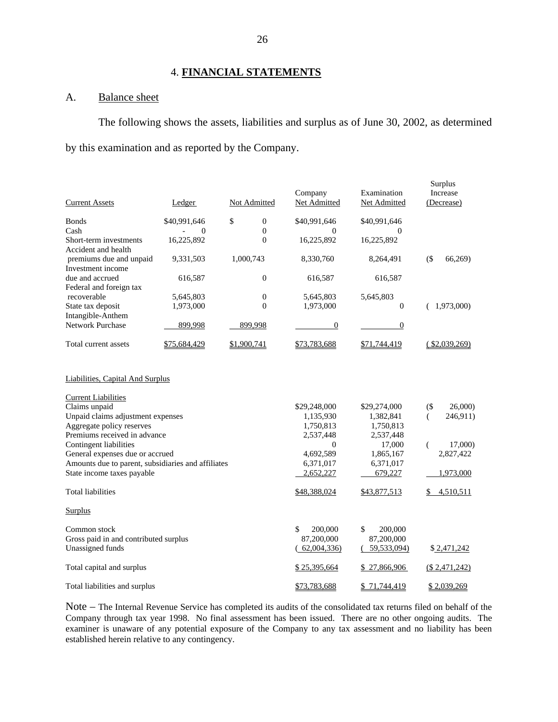#### 4. **FINANCIAL STATEMENTS**

#### A. Balance sheet

The following shows the assets, liabilities and surplus as of June 30, 2002, as determined by this examination and as reported by the Company.

| <b>Current Assets</b>                                                                                                                                                                                                                                                                                                                                                 | Ledger       |             | Not Admitted     | Company<br>Net Admitted                                                                                      | Examination<br>Net Admitted                                                                        | Surplus<br>Increase<br>(Decrease)                                            |
|-----------------------------------------------------------------------------------------------------------------------------------------------------------------------------------------------------------------------------------------------------------------------------------------------------------------------------------------------------------------------|--------------|-------------|------------------|--------------------------------------------------------------------------------------------------------------|----------------------------------------------------------------------------------------------------|------------------------------------------------------------------------------|
| <b>Bonds</b>                                                                                                                                                                                                                                                                                                                                                          | \$40,991,646 | \$          | $\mathbf{0}$     | \$40,991,646                                                                                                 | \$40,991,646                                                                                       |                                                                              |
| Cash                                                                                                                                                                                                                                                                                                                                                                  | $\mathbf{0}$ |             | $\overline{0}$   | 0                                                                                                            | $\Omega$                                                                                           |                                                                              |
| Short-term investments<br>Accident and health                                                                                                                                                                                                                                                                                                                         | 16,225,892   |             | $\theta$         | 16,225,892                                                                                                   | 16,225,892                                                                                         |                                                                              |
| premiums due and unpaid<br>Investment income                                                                                                                                                                                                                                                                                                                          | 9,331,503    |             | 1,000,743        | 8,330,760                                                                                                    | 8,264,491                                                                                          | $($ \$<br>66,269                                                             |
| due and accrued<br>Federal and foreign tax                                                                                                                                                                                                                                                                                                                            | 616,587      |             | $\boldsymbol{0}$ | 616,587                                                                                                      | 616,587                                                                                            |                                                                              |
| recoverable                                                                                                                                                                                                                                                                                                                                                           | 5,645,803    |             | $\boldsymbol{0}$ | 5,645,803                                                                                                    | 5,645,803                                                                                          |                                                                              |
| State tax deposit<br>Intangible-Anthem                                                                                                                                                                                                                                                                                                                                | 1,973,000    |             | $\theta$         | 1,973,000                                                                                                    | $\overline{0}$                                                                                     | (1,973,000)                                                                  |
| <b>Network Purchase</b>                                                                                                                                                                                                                                                                                                                                               | 899,998      |             | 899,998          | $\mathbf{0}$                                                                                                 | $\overline{0}$                                                                                     |                                                                              |
| Total current assets                                                                                                                                                                                                                                                                                                                                                  | \$75,684,429 | \$1,900,741 |                  | \$73,783,688                                                                                                 | \$71,744,419                                                                                       | $(*2,039,269)$                                                               |
| <b>Liabilities, Capital And Surplus</b><br><b>Current Liabilities</b><br>Claims unpaid<br>Unpaid claims adjustment expenses<br>Aggregate policy reserves<br>Premiums received in advance<br>Contingent liabilities<br>General expenses due or accrued<br>Amounts due to parent, subsidiaries and affiliates<br>State income taxes payable<br><b>Total liabilities</b> |              |             |                  | \$29,248,000<br>1,135,930<br>1,750,813<br>2,537,448<br>$\overline{0}$<br>4,692,589<br>6,371,017<br>2,652,227 | \$29,274,000<br>1,382,841<br>1,750,813<br>2,537,448<br>17,000<br>1,865,167<br>6,371,017<br>679,227 | $($ \$<br>26,000)<br>246,911)<br>€<br>17,000)<br>€<br>2,827,422<br>1,973,000 |
|                                                                                                                                                                                                                                                                                                                                                                       |              |             |                  | \$48,388,024                                                                                                 | \$43,877,513                                                                                       | 4,510,511                                                                    |
| <b>Surplus</b>                                                                                                                                                                                                                                                                                                                                                        |              |             |                  |                                                                                                              |                                                                                                    |                                                                              |
| Common stock<br>Gross paid in and contributed surplus<br>Unassigned funds                                                                                                                                                                                                                                                                                             |              |             |                  | \$<br>200,000<br>87,200,000<br>(62,004,336)                                                                  | \$<br>200,000<br>87,200,000<br>(59,533,094)                                                        | \$2,471,242                                                                  |
| Total capital and surplus                                                                                                                                                                                                                                                                                                                                             |              |             |                  | \$25,395,664                                                                                                 | \$27,866,906                                                                                       | (\$2,471,242)                                                                |
| Total liabilities and surplus                                                                                                                                                                                                                                                                                                                                         |              |             |                  | \$73,783,688                                                                                                 | \$71,744,419                                                                                       | \$2,039,269                                                                  |

 Note – The Internal Revenue Service has completed its audits of the consolidated tax returns filed on behalf of the Company through tax year 1998. No final assessment has been issued. There are no other ongoing audits. The examiner is unaware of any potential exposure of the Company to any tax assessment and no liability has been established herein relative to any contingency.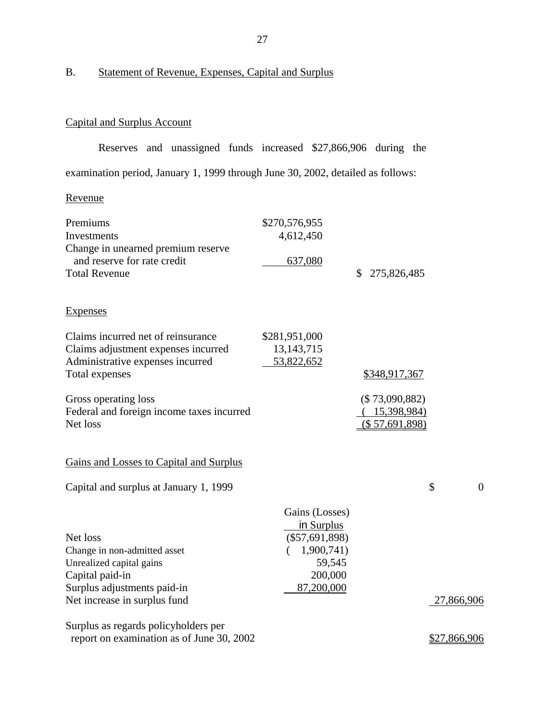# B. Statement of Revenue, Expenses, Capital and Surplus

# Capital and Surplus Account

Reserves and unassigned funds increased \$27,866,906 during the examination period, January 1, 1999 through June 30, 2002, detailed as follows:

#### Revenue

| Premiums                                  | \$270,576,955    |                   |                |
|-------------------------------------------|------------------|-------------------|----------------|
| Investments                               | 4,612,450        |                   |                |
| Change in unearned premium reserve        |                  |                   |                |
| and reserve for rate credit               | 637,080          |                   |                |
| <b>Total Revenue</b>                      |                  | \$<br>275,826,485 |                |
| <b>Expenses</b>                           |                  |                   |                |
| Claims incurred net of reinsurance        | \$281,951,000    |                   |                |
| Claims adjustment expenses incurred       | 13, 143, 715     |                   |                |
| Administrative expenses incurred          | 53,822,652       |                   |                |
| Total expenses                            |                  | \$348,917,367     |                |
| Gross operating loss                      |                  | $(\$73,090,882)$  |                |
| Federal and foreign income taxes incurred |                  | 15,398,984)       |                |
| Net loss                                  |                  | (\$ 57,691,898)   |                |
| Gains and Losses to Capital and Surplus   |                  |                   |                |
| Capital and surplus at January 1, 1999    |                  |                   | \$<br>$\theta$ |
|                                           | Gains (Losses)   |                   |                |
|                                           | in Surplus       |                   |                |
| Net loss                                  | $(\$57,691,898)$ |                   |                |
| Change in non-admitted asset              | 1,900,741)       |                   |                |
| Unrealized capital gains                  | 59,545           |                   |                |
| Capital paid-in                           | 200,000          |                   |                |
| Surplus adjustments paid-in               | 87,200,000       |                   |                |
| Net increase in surplus fund              |                  |                   | 27,866,906     |
| Surplus as regards policyholders per      |                  |                   |                |
| report on examination as of June 30, 2002 |                  |                   | \$27,866,906   |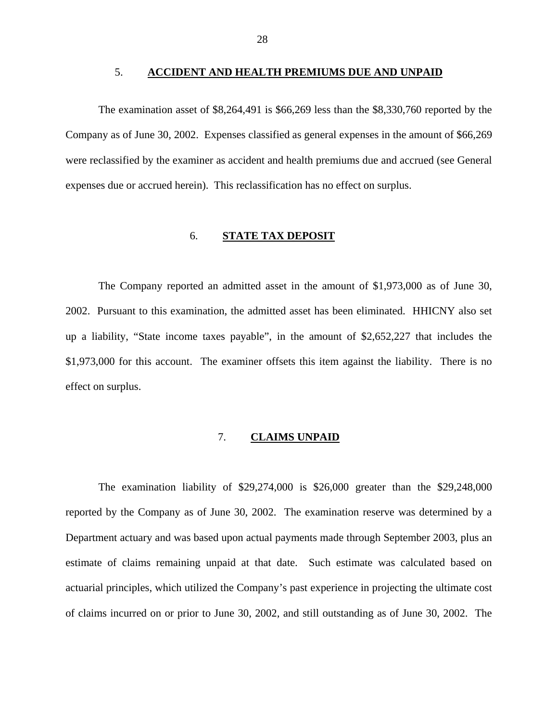#### 5. **ACCIDENT AND HEALTH PREMIUMS DUE AND UNPAID**

The examination asset of \$8,264,491 is \$66,269 less than the \$8,330,760 reported by the Company as of June 30, 2002. Expenses classified as general expenses in the amount of \$66,269 were reclassified by the examiner as accident and health premiums due and accrued (see General expenses due or accrued herein). This reclassification has no effect on surplus.

#### 6. **STATE TAX DEPOSIT**

The Company reported an admitted asset in the amount of \$1,973,000 as of June 30, 2002. Pursuant to this examination, the admitted asset has been eliminated. HHICNY also set up a liability, "State income taxes payable", in the amount of \$2,652,227 that includes the \$1,973,000 for this account. The examiner offsets this item against the liability. There is no effect on surplus.

#### 7. **CLAIMS UNPAID**

The examination liability of \$29,274,000 is \$26,000 greater than the \$29,248,000 reported by the Company as of June 30, 2002. The examination reserve was determined by a Department actuary and was based upon actual payments made through September 2003, plus an estimate of claims remaining unpaid at that date. Such estimate was calculated based on actuarial principles, which utilized the Company's past experience in projecting the ultimate cost of claims incurred on or prior to June 30, 2002, and still outstanding as of June 30, 2002. The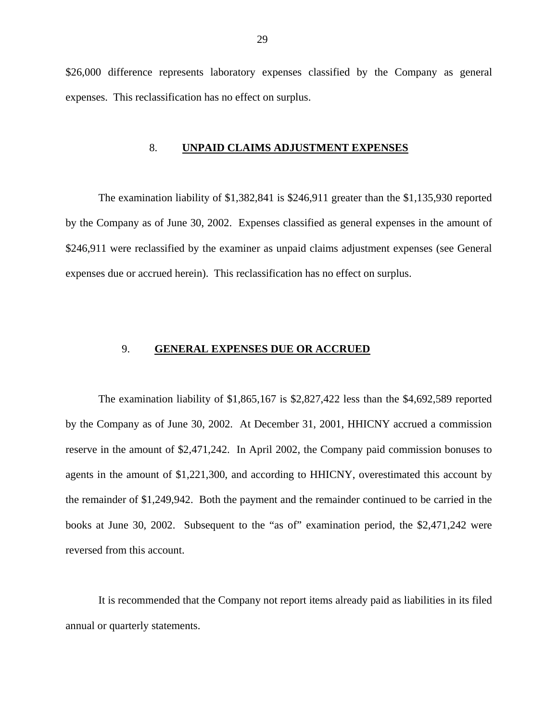\$26,000 difference represents laboratory expenses classified by the Company as general expenses. This reclassification has no effect on surplus.

#### 8. **UNPAID CLAIMS ADJUSTMENT EXPENSES**

The examination liability of \$1,382,841 is \$246,911 greater than the \$1,135,930 reported by the Company as of June 30, 2002. Expenses classified as general expenses in the amount of \$246,911 were reclassified by the examiner as unpaid claims adjustment expenses (see General expenses due or accrued herein). This reclassification has no effect on surplus.

#### 9. **GENERAL EXPENSES DUE OR ACCRUED**

The examination liability of \$1,865,167 is \$2,827,422 less than the \$4,692,589 reported by the Company as of June 30, 2002. At December 31, 2001, HHICNY accrued a commission reserve in the amount of \$2,471,242. In April 2002, the Company paid commission bonuses to agents in the amount of \$1,221,300, and according to HHICNY, overestimated this account by the remainder of \$1,249,942. Both the payment and the remainder continued to be carried in the books at June 30, 2002. Subsequent to the "as of" examination period, the \$2,471,242 were reversed from this account.

It is recommended that the Company not report items already paid as liabilities in its filed annual or quarterly statements.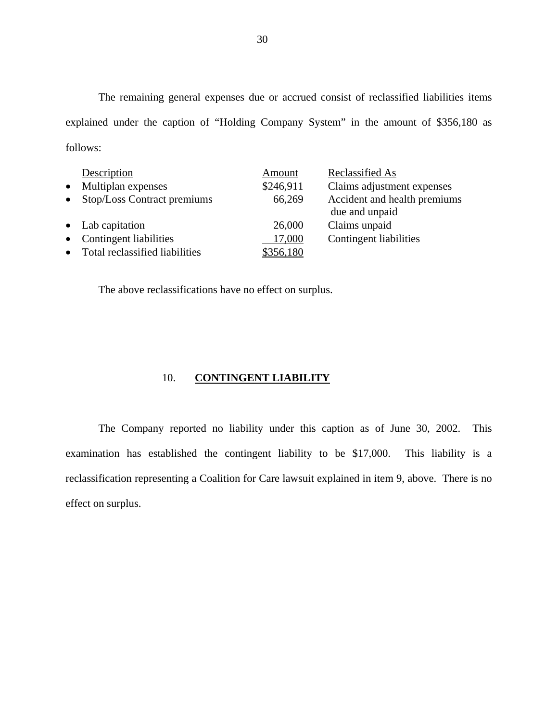The remaining general expenses due or accrued consist of reclassified liabilities items explained under the caption of "Holding Company System" in the amount of \$356,180 as follows:

|           | Description                      | Amount    | Reclassified As                                |
|-----------|----------------------------------|-----------|------------------------------------------------|
| $\bullet$ | Multiplan expenses               | \$246,911 | Claims adjustment expenses                     |
| $\bullet$ | Stop/Loss Contract premiums      | 66,269    | Accident and health premiums<br>due and unpaid |
|           | • Lab capitation                 | 26,000    | Claims unpaid                                  |
|           | • Contingent liabilities         | 17,000    | Contingent liabilities                         |
|           | • Total reclassified liabilities | \$356,180 |                                                |

The above reclassifications have no effect on surplus.

#### 10. **CONTINGENT LIABILITY**

The Company reported no liability under this caption as of June 30, 2002. This examination has established the contingent liability to be \$17,000. This liability is a reclassification representing a Coalition for Care lawsuit explained in item 9, above. There is no effect on surplus.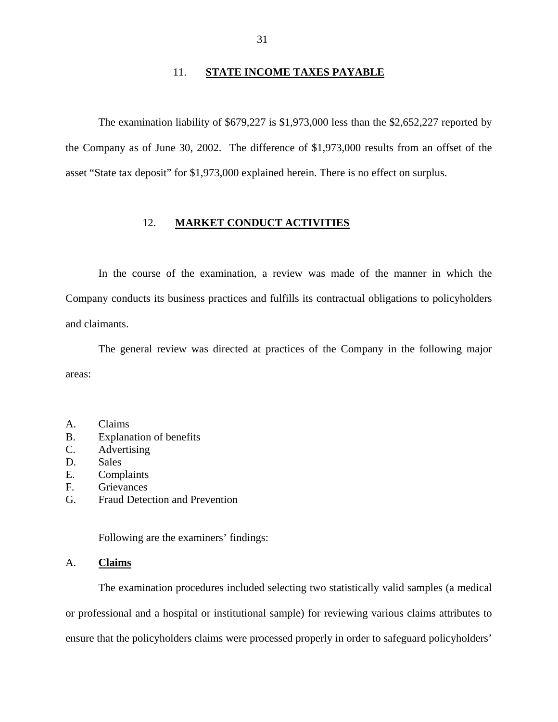#### 11. **STATE INCOME TAXES PAYABLE**

The examination liability of \$679,227 is \$1,973,000 less than the \$2,652,227 reported by the Company as of June 30, 2002. The difference of \$1,973,000 results from an offset of the asset "State tax deposit" for \$1,973,000 explained herein. There is no effect on surplus.

#### 12. **MARKET CONDUCT ACTIVITIES**

In the course of the examination, a review was made of the manner in which the Company conducts its business practices and fulfills its contractual obligations to policyholders and claimants.

The general review was directed at practices of the Company in the following major areas:

- A. Claims
- B. Explanation of benefits
- C. Advertising
- D. Sales
- E. Complaints
- F. Grievances
- G. Fraud Detection and Prevention

Following are the examiners' findings:

#### A. **Claims**

The examination procedures included selecting two statistically valid samples (a medical or professional and a hospital or institutional sample) for reviewing various claims attributes to ensure that the policyholders claims were processed properly in order to safeguard policyholders'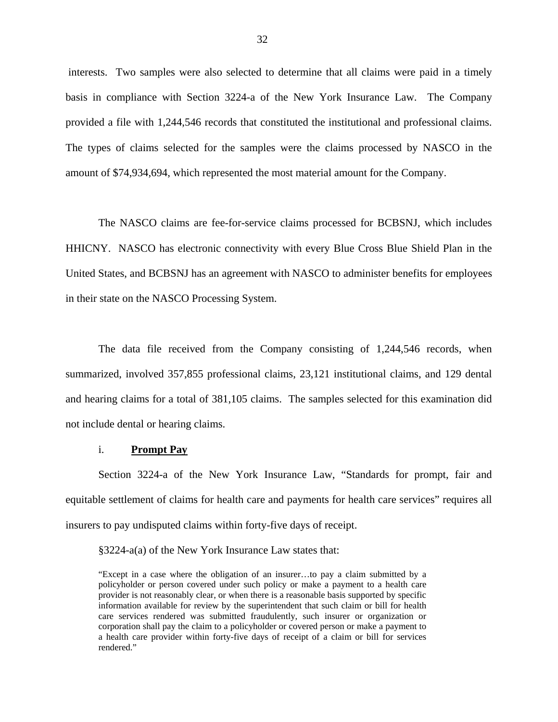interests. Two samples were also selected to determine that all claims were paid in a timely basis in compliance with Section 3224-a of the New York Insurance Law. The Company provided a file with 1,244,546 records that constituted the institutional and professional claims. The types of claims selected for the samples were the claims processed by NASCO in the amount of \$74,934,694, which represented the most material amount for the Company.

The NASCO claims are fee-for-service claims processed for BCBSNJ, which includes HHICNY. NASCO has electronic connectivity with every Blue Cross Blue Shield Plan in the United States, and BCBSNJ has an agreement with NASCO to administer benefits for employees in their state on the NASCO Processing System.

The data file received from the Company consisting of 1,244,546 records, when summarized, involved 357,855 professional claims, 23,121 institutional claims, and 129 dental and hearing claims for a total of 381,105 claims. The samples selected for this examination did not include dental or hearing claims.

#### i. **Prompt Pay**

Section 3224-a of the New York Insurance Law, "Standards for prompt, fair and equitable settlement of claims for health care and payments for health care services" requires all insurers to pay undisputed claims within forty-five days of receipt.

§3224-a(a) of the New York Insurance Law states that:

 care services rendered was submitted fraudulently, such insurer or organization or "Except in a case where the obligation of an insurer…to pay a claim submitted by a policyholder or person covered under such policy or make a payment to a health care provider is not reasonably clear, or when there is a reasonable basis supported by specific information available for review by the superintendent that such claim or bill for health corporation shall pay the claim to a policyholder or covered person or make a payment to a health care provider within forty-five days of receipt of a claim or bill for services rendered."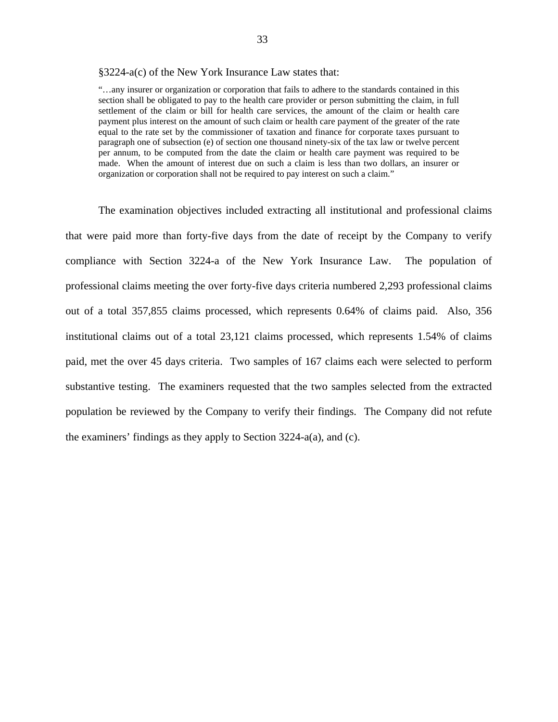#### §3224-a(c) of the New York Insurance Law states that:

 section shall be obligated to pay to the health care provider or person submitting the claim, in full per annum, to be computed from the date the claim or health care payment was required to be "…any insurer or organization or corporation that fails to adhere to the standards contained in this settlement of the claim or bill for health care services, the amount of the claim or health care payment plus interest on the amount of such claim or health care payment of the greater of the rate equal to the rate set by the commissioner of taxation and finance for corporate taxes pursuant to paragraph one of subsection (e) of section one thousand ninety-six of the tax law or twelve percent made. When the amount of interest due on such a claim is less than two dollars, an insurer or organization or corporation shall not be required to pay interest on such a claim."

The examination objectives included extracting all institutional and professional claims that were paid more than forty-five days from the date of receipt by the Company to verify compliance with Section 3224-a of the New York Insurance Law. The population of professional claims meeting the over forty-five days criteria numbered 2,293 professional claims out of a total 357,855 claims processed, which represents 0.64% of claims paid. Also, 356 institutional claims out of a total 23,121 claims processed, which represents 1.54% of claims paid, met the over 45 days criteria. Two samples of 167 claims each were selected to perform substantive testing. The examiners requested that the two samples selected from the extracted population be reviewed by the Company to verify their findings. The Company did not refute the examiners' findings as they apply to Section 3224-a(a), and (c).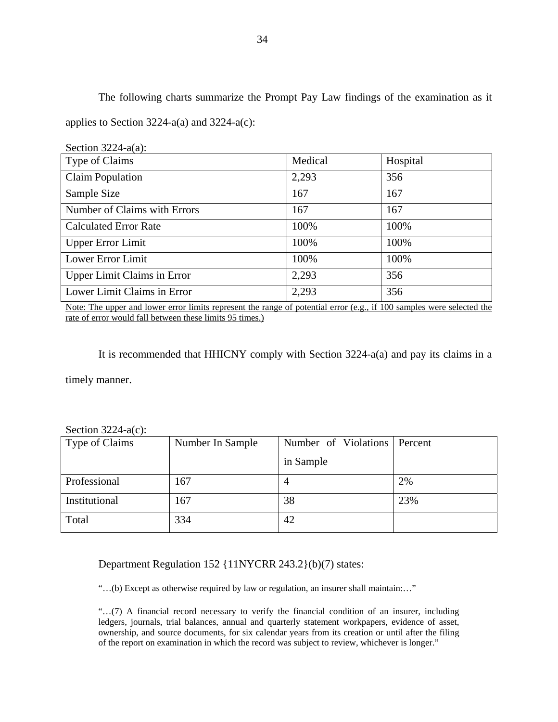The following charts summarize the Prompt Pay Law findings of the examination as it applies to Section 3224-a(a) and 3224-a(c):

| Section $3224-a(a)$ :                                                                                                                                                                                                                                                                                             |                                                                                         |                                                                   |
|-------------------------------------------------------------------------------------------------------------------------------------------------------------------------------------------------------------------------------------------------------------------------------------------------------------------|-----------------------------------------------------------------------------------------|-------------------------------------------------------------------|
| Type of Claims                                                                                                                                                                                                                                                                                                    | Medical                                                                                 | Hospital                                                          |
| <b>Claim Population</b>                                                                                                                                                                                                                                                                                           | 2,293                                                                                   | 356                                                               |
| Sample Size                                                                                                                                                                                                                                                                                                       | 167                                                                                     | 167                                                               |
| Number of Claims with Errors                                                                                                                                                                                                                                                                                      | 167                                                                                     | 167                                                               |
| <b>Calculated Error Rate</b>                                                                                                                                                                                                                                                                                      | 100%                                                                                    | 100%                                                              |
| <b>Upper Error Limit</b>                                                                                                                                                                                                                                                                                          | 100%                                                                                    | 100%                                                              |
| Lower Error Limit                                                                                                                                                                                                                                                                                                 | 100%                                                                                    | 100%                                                              |
| <b>Upper Limit Claims in Error</b>                                                                                                                                                                                                                                                                                | 2,293                                                                                   | 356                                                               |
| Lower Limit Claims in Error                                                                                                                                                                                                                                                                                       | 2,293                                                                                   | 356                                                               |
| $\sim$ $\sim$ 1<br>$\mathbf{M}$ and the set of $\mathbf{M}$ and $\mathbf{M}$ and $\mathbf{M}$ and $\mathbf{M}$ and $\mathbf{M}$ and $\mathbf{M}$ and $\mathbf{M}$ and $\mathbf{M}$ and $\mathbf{M}$ and $\mathbf{M}$ and $\mathbf{M}$ and $\mathbf{M}$ and $\mathbf{M}$ and $\mathbf{M}$ and $\mathbf{M}$ and $\$ | $\mathbf{c}$ $\mathbf{c}$ $\mathbf{c}$ $\mathbf{c}$ $\mathbf{c}$ $\mathbf{c}$<br>$\sim$ | 1.1.1<br>$\cdot$ $\circ$ $\cdot$ $\circ$ $\circ$<br>$\sim$ $\sim$ |

Note: The upper and lower error limits represent the range of potential error (e.g., if 100 samples were selected the rate of error would fall between these limits 95 times.)

It is recommended that HHICNY comply with Section 3224-a(a) and pay its claims in a timely manner.

Section 3224-a(c):

| Type of Claims | Number In Sample | Number of Violations Percent |     |
|----------------|------------------|------------------------------|-----|
|                |                  | in Sample                    |     |
| Professional   | 167              | 4                            | 2%  |
| Institutional  | 167              | 38                           | 23% |
| Total          | 334              | 42                           |     |

Department Regulation 152 {11NYCRR 243.2}(b)(7) states:

"…(b) Except as otherwise required by law or regulation, an insurer shall maintain:…"

 ownership, and source documents, for six calendar years from its creation or until after the filing "…(7) A financial record necessary to verify the financial condition of an insurer, including ledgers, journals, trial balances, annual and quarterly statement workpapers, evidence of asset, of the report on examination in which the record was subject to review, whichever is longer."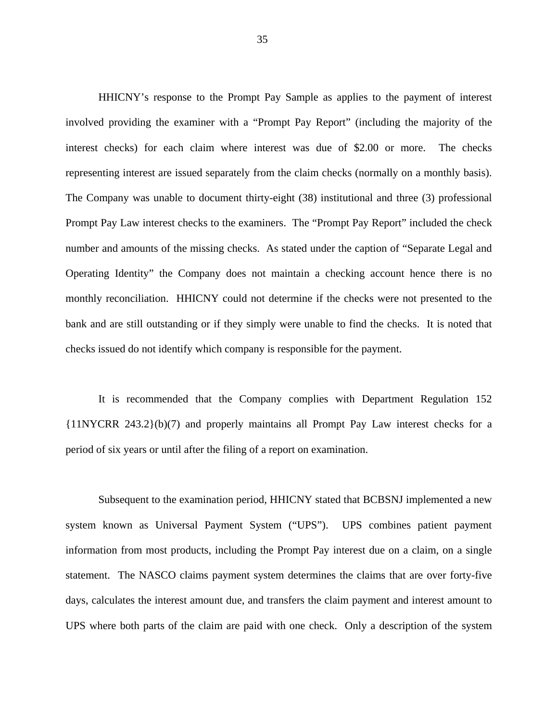HHICNY's response to the Prompt Pay Sample as applies to the payment of interest involved providing the examiner with a "Prompt Pay Report" (including the majority of the interest checks) for each claim where interest was due of \$2.00 or more. The checks representing interest are issued separately from the claim checks (normally on a monthly basis). The Company was unable to document thirty-eight (38) institutional and three (3) professional Prompt Pay Law interest checks to the examiners. The "Prompt Pay Report" included the check number and amounts of the missing checks. As stated under the caption of "Separate Legal and Operating Identity" the Company does not maintain a checking account hence there is no monthly reconciliation. HHICNY could not determine if the checks were not presented to the bank and are still outstanding or if they simply were unable to find the checks. It is noted that checks issued do not identify which company is responsible for the payment.

It is recommended that the Company complies with Department Regulation 152 {11NYCRR 243.2}(b)(7) and properly maintains all Prompt Pay Law interest checks for a period of six years or until after the filing of a report on examination.

Subsequent to the examination period, HHICNY stated that BCBSNJ implemented a new system known as Universal Payment System ("UPS"). UPS combines patient payment information from most products, including the Prompt Pay interest due on a claim, on a single statement. The NASCO claims payment system determines the claims that are over forty-five days, calculates the interest amount due, and transfers the claim payment and interest amount to UPS where both parts of the claim are paid with one check. Only a description of the system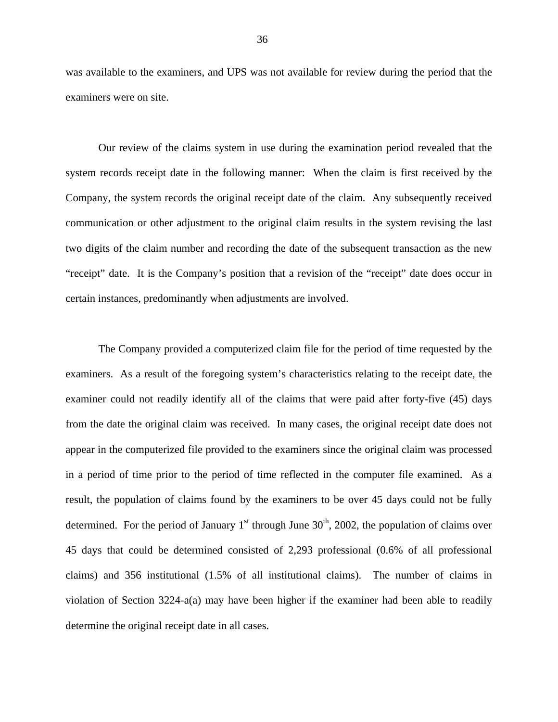was available to the examiners, and UPS was not available for review during the period that the examiners were on site.

Our review of the claims system in use during the examination period revealed that the system records receipt date in the following manner: When the claim is first received by the Company, the system records the original receipt date of the claim. Any subsequently received communication or other adjustment to the original claim results in the system revising the last two digits of the claim number and recording the date of the subsequent transaction as the new "receipt" date. It is the Company's position that a revision of the "receipt" date does occur in certain instances, predominantly when adjustments are involved.

The Company provided a computerized claim file for the period of time requested by the examiners. As a result of the foregoing system's characteristics relating to the receipt date, the examiner could not readily identify all of the claims that were paid after forty-five (45) days from the date the original claim was received. In many cases, the original receipt date does not appear in the computerized file provided to the examiners since the original claim was processed in a period of time prior to the period of time reflected in the computer file examined. As a result, the population of claims found by the examiners to be over 45 days could not be fully determined. For the period of January  $1<sup>st</sup>$  through June  $30<sup>th</sup>$ , 2002, the population of claims over 45 days that could be determined consisted of 2,293 professional (0.6% of all professional claims) and 356 institutional (1.5% of all institutional claims). The number of claims in violation of Section 3224-a(a) may have been higher if the examiner had been able to readily determine the original receipt date in all cases.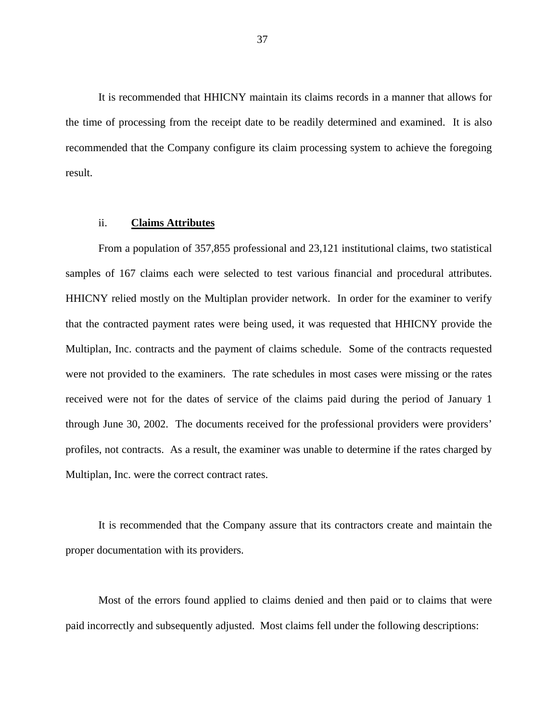It is recommended that HHICNY maintain its claims records in a manner that allows for the time of processing from the receipt date to be readily determined and examined. It is also recommended that the Company configure its claim processing system to achieve the foregoing result.

#### ii. **Claims Attributes**

samples of 167 claims each were selected to test various financial and procedural attributes. From a population of 357,855 professional and 23,121 institutional claims, two statistical HHICNY relied mostly on the Multiplan provider network. In order for the examiner to verify that the contracted payment rates were being used, it was requested that HHICNY provide the Multiplan, Inc. contracts and the payment of claims schedule. Some of the contracts requested were not provided to the examiners. The rate schedules in most cases were missing or the rates received were not for the dates of service of the claims paid during the period of January 1 through June 30, 2002. The documents received for the professional providers were providers' profiles, not contracts. As a result, the examiner was unable to determine if the rates charged by Multiplan, Inc. were the correct contract rates.

It is recommended that the Company assure that its contractors create and maintain the proper documentation with its providers.

Most of the errors found applied to claims denied and then paid or to claims that were paid incorrectly and subsequently adjusted. Most claims fell under the following descriptions: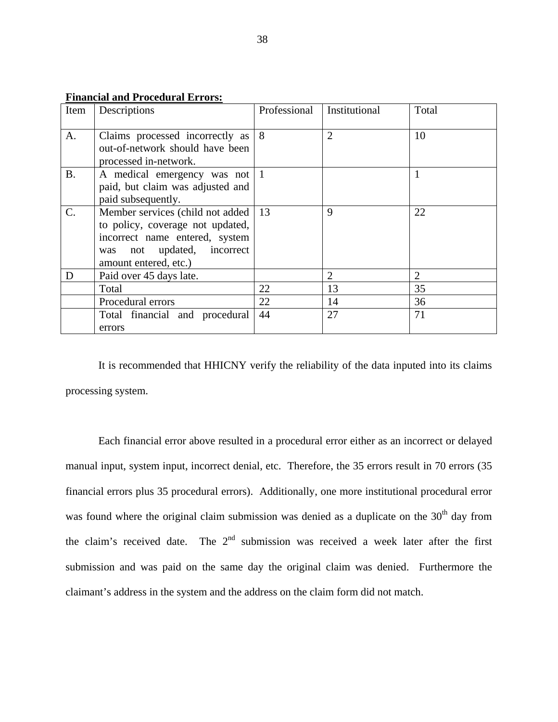| Item      | niunciui unu 1 i occuutui 111 otoa<br>Descriptions                                                                                                            | Professional | Institutional  | Total |
|-----------|---------------------------------------------------------------------------------------------------------------------------------------------------------------|--------------|----------------|-------|
| A.        | Claims processed incorrectly as<br>out-of-network should have been<br>processed in-network.                                                                   | 8            | $\overline{2}$ | 10    |
| <b>B.</b> | A medical emergency was not 1<br>paid, but claim was adjusted and<br>paid subsequently.                                                                       |              |                |       |
| C.        | Member services (child not added<br>to policy, coverage not updated,<br>incorrect name entered, system<br>was not updated, incorrect<br>amount entered, etc.) | 13           | 9              | 22    |
| D         | Paid over 45 days late.                                                                                                                                       |              | $\overline{2}$ | 2     |
|           | Total                                                                                                                                                         | 22           | 13             | 35    |
|           | Procedural errors                                                                                                                                             | 22           | 14             | 36    |
|           | Total financial and procedural<br>errors                                                                                                                      | 44           | 27             | 71    |

**Financial and Procedural Errors:** 

It is recommended that HHICNY verify the reliability of the data inputed into its claims processing system.

Each financial error above resulted in a procedural error either as an incorrect or delayed manual input, system input, incorrect denial, etc. Therefore, the 35 errors result in 70 errors (35 financial errors plus 35 procedural errors). Additionally, one more institutional procedural error was found where the original claim submission was denied as a duplicate on the 30<sup>th</sup> day from the claim's received date. The  $2<sup>nd</sup>$  submission was received a week later after the first submission and was paid on the same day the original claim was denied. Furthermore the claimant's address in the system and the address on the claim form did not match.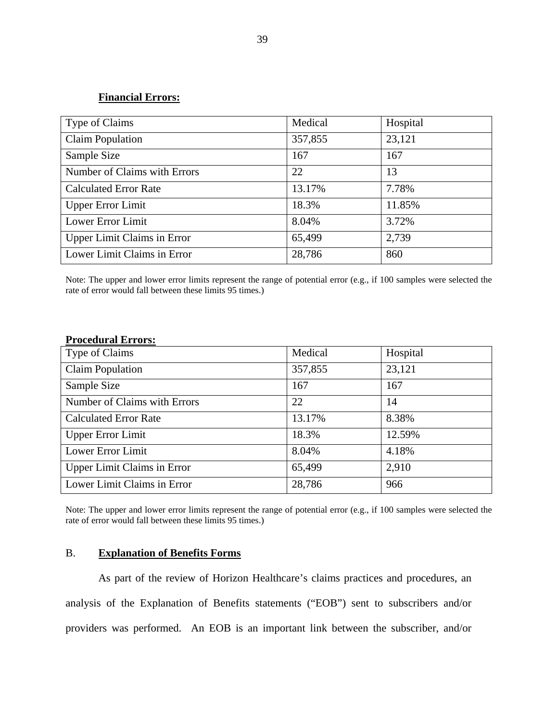#### **Financial Errors:**

| Type of Claims                     | Medical | Hospital |
|------------------------------------|---------|----------|
| <b>Claim Population</b>            | 357,855 | 23,121   |
| Sample Size                        | 167     | 167      |
| Number of Claims with Errors       | 22      | 13       |
| <b>Calculated Error Rate</b>       | 13.17%  | 7.78%    |
| <b>Upper Error Limit</b>           | 18.3%   | 11.85%   |
| Lower Error Limit                  | 8.04%   | 3.72%    |
| <b>Upper Limit Claims in Error</b> | 65,499  | 2,739    |
| Lower Limit Claims in Error        | 28,786  | 860      |

Note: The upper and lower error limits represent the range of potential error (e.g., if 100 samples were selected the rate of error would fall between these limits 95 times.)

#### **Procedural Errors:**

| Type of Claims                     | Medical | Hospital |
|------------------------------------|---------|----------|
| <b>Claim Population</b>            | 357,855 | 23,121   |
| Sample Size                        | 167     | 167      |
| Number of Claims with Errors       | 22      | 14       |
| <b>Calculated Error Rate</b>       | 13.17%  | 8.38%    |
| <b>Upper Error Limit</b>           | 18.3%   | 12.59%   |
| Lower Error Limit                  | 8.04%   | 4.18%    |
| <b>Upper Limit Claims in Error</b> | 65,499  | 2,910    |
| Lower Limit Claims in Error        | 28,786  | 966      |

Note: The upper and lower error limits represent the range of potential error (e.g., if 100 samples were selected the rate of error would fall between these limits 95 times.)

#### B. **Explanation of Benefits Forms**

As part of the review of Horizon Healthcare's claims practices and procedures, an analysis of the Explanation of Benefits statements ("EOB") sent to subscribers and/or providers was performed. An EOB is an important link between the subscriber, and/or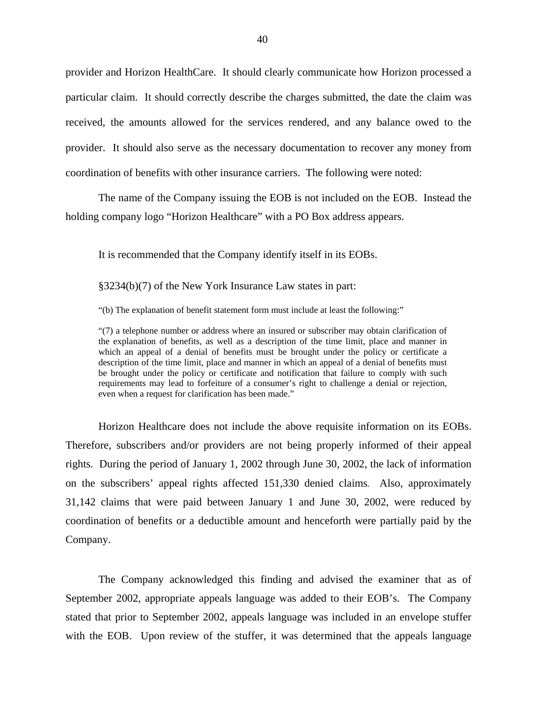provider and Horizon HealthCare. It should clearly communicate how Horizon processed a particular claim. It should correctly describe the charges submitted, the date the claim was received, the amounts allowed for the services rendered, and any balance owed to the provider. It should also serve as the necessary documentation to recover any money from coordination of benefits with other insurance carriers. The following were noted:

The name of the Company issuing the EOB is not included on the EOB. Instead the holding company logo "Horizon Healthcare" with a PO Box address appears.

It is recommended that the Company identify itself in its EOBs.

§3234(b)(7) of the New York Insurance Law states in part:

"(b) The explanation of benefit statement form must include at least the following:"

"(7) a telephone number or address where an insured or subscriber may obtain clarification of the explanation of benefits, as well as a description of the time limit, place and manner in which an appeal of a denial of benefits must be brought under the policy or certificate a description of the time limit, place and manner in which an appeal of a denial of benefits must be brought under the policy or certificate and notification that failure to comply with such requirements may lead to forfeiture of a consumer's right to challenge a denial or rejection, even when a request for clarification has been made."

Horizon Healthcare does not include the above requisite information on its EOBs. Therefore, subscribers and/or providers are not being properly informed of their appeal rights. During the period of January 1, 2002 through June 30, 2002, the lack of information on the subscribers' appeal rights affected 151,330 denied claims*.* Also, approximately 31,142 claims that were paid between January 1 and June 30, 2002, were reduced by coordination of benefits or a deductible amount and henceforth were partially paid by the Company.

The Company acknowledged this finding and advised the examiner that as of September 2002, appropriate appeals language was added to their EOB's. The Company stated that prior to September 2002, appeals language was included in an envelope stuffer with the EOB. Upon review of the stuffer, it was determined that the appeals language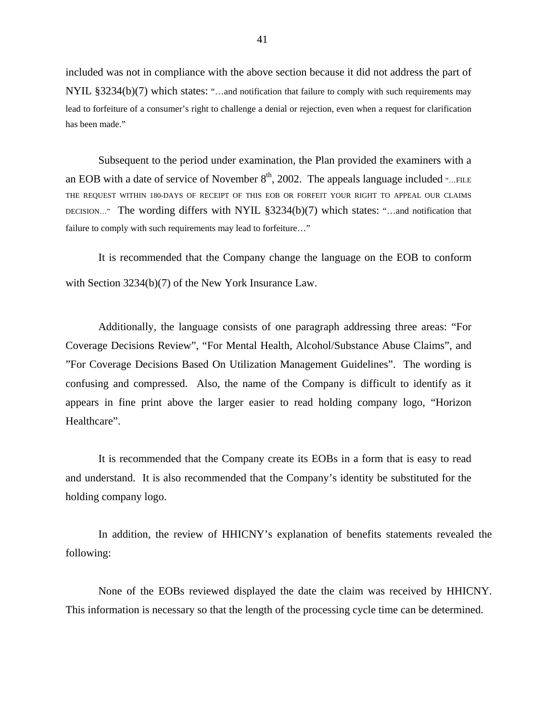included was not in compliance with the above section because it did not address the part of NYIL §3234(b)(7) which states: "...and notification that failure to comply with such requirements may lead to forfeiture of a consumer's right to challenge a denial or rejection, even when a request for clarification has been made."

Subsequent to the period under examination, the Plan provided the examiners with a an EOB with a date of service of November  $8<sup>th</sup>$ , 2002. The appeals language included "...FILE THE REQUEST WITHIN 180-DAYS OF RECEIPT OF THIS EOB OR FORFEIT YOUR RIGHT TO APPEAL OUR CLAIMS DECISION…" The wording differs with NYIL  $\S 3234(b)(7)$  which states: "...and notification that failure to comply with such requirements may lead to forfeiture…"

It is recommended that the Company change the language on the EOB to conform with Section 3234(b)(7) of the New York Insurance Law.

Additionally, the language consists of one paragraph addressing three areas: "For Coverage Decisions Review", "For Mental Health, Alcohol/Substance Abuse Claims", and "For Coverage Decisions Based On Utilization Management Guidelines". The wording is confusing and compressed. Also, the name of the Company is difficult to identify as it appears in fine print above the larger easier to read holding company logo, "Horizon Healthcare".

It is recommended that the Company create its EOBs in a form that is easy to read and understand. It is also recommended that the Company's identity be substituted for the holding company logo.

In addition, the review of HHICNY's explanation of benefits statements revealed the following:

None of the EOBs reviewed displayed the date the claim was received by HHICNY. This information is necessary so that the length of the processing cycle time can be determined.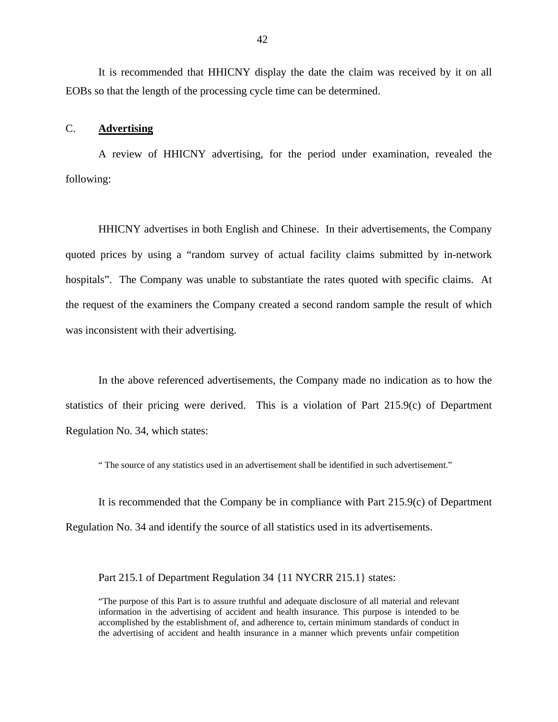It is recommended that HHICNY display the date the claim was received by it on all EOBs so that the length of the processing cycle time can be determined.

#### C. **Advertising**

A review of HHICNY advertising, for the period under examination, revealed the following:

HHICNY advertises in both English and Chinese. In their advertisements, the Company quoted prices by using a "random survey of actual facility claims submitted by in-network hospitals". The Company was unable to substantiate the rates quoted with specific claims. At the request of the examiners the Company created a second random sample the result of which was inconsistent with their advertising.

In the above referenced advertisements, the Company made no indication as to how the statistics of their pricing were derived. This is a violation of Part 215.9(c) of Department Regulation No. 34, which states:

" The source of any statistics used in an advertisement shall be identified in such advertisement."

It is recommended that the Company be in compliance with Part 215.9(c) of Department Regulation No. 34 and identify the source of all statistics used in its advertisements.

Part 215.1 of Department Regulation 34 {11 NYCRR 215.1} states:

"The purpose of this Part is to assure truthful and adequate disclosure of all material and relevant information in the advertising of accident and health insurance. This purpose is intended to be accomplished by the establishment of, and adherence to, certain minimum standards of conduct in the advertising of accident and health insurance in a manner which prevents unfair competition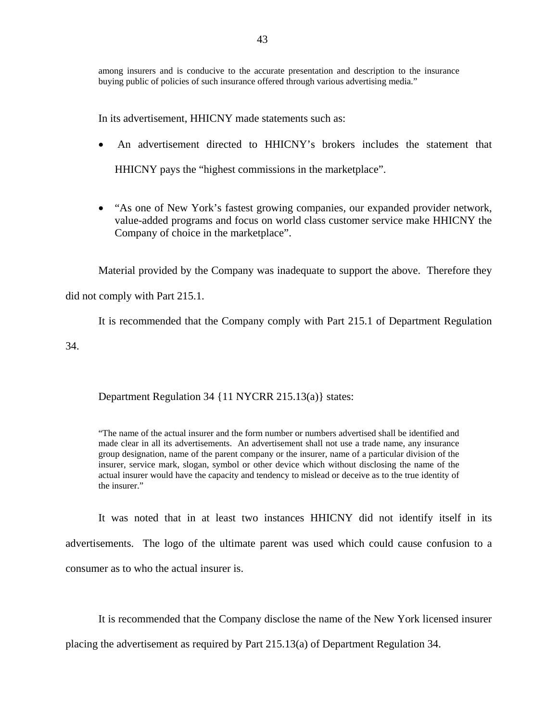among insurers and is conducive to the accurate presentation and description to the insurance buying public of policies of such insurance offered through various advertising media."

In its advertisement, HHICNY made statements such as:

- An advertisement directed to HHICNY's brokers includes the statement that HHICNY pays the "highest commissions in the marketplace".
- "As one of New York's fastest growing companies, our expanded provider network, value-added programs and focus on world class customer service make HHICNY the Company of choice in the marketplace".

Material provided by the Company was inadequate to support the above. Therefore they

did not comply with Part 215.1.

It is recommended that the Company comply with Part 215.1 of Department Regulation

34.

Department Regulation 34 {11 NYCRR 215.13(a)} states:

"The name of the actual insurer and the form number or numbers advertised shall be identified and made clear in all its advertisements. An advertisement shall not use a trade name, any insurance group designation, name of the parent company or the insurer, name of a particular division of the insurer, service mark, slogan, symbol or other device which without disclosing the name of the actual insurer would have the capacity and tendency to mislead or deceive as to the true identity of the insurer."

It was noted that in at least two instances HHICNY did not identify itself in its advertisements. The logo of the ultimate parent was used which could cause confusion to a consumer as to who the actual insurer is.

It is recommended that the Company disclose the name of the New York licensed insurer

placing the advertisement as required by Part 215.13(a) of Department Regulation 34.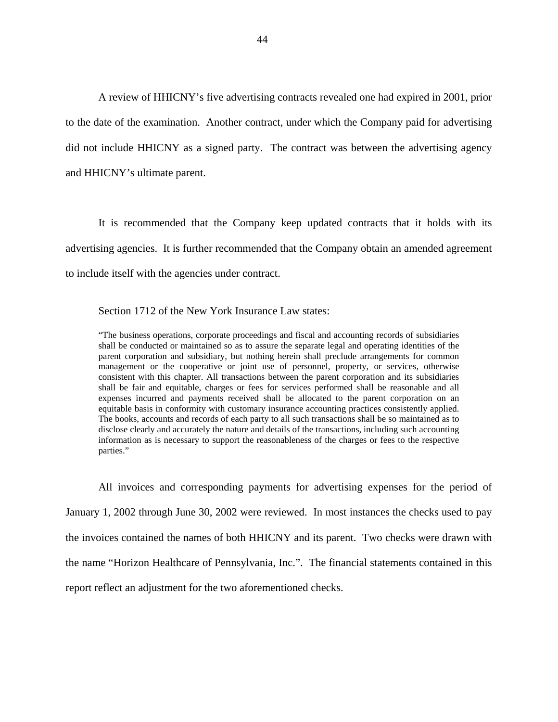A review of HHICNY's five advertising contracts revealed one had expired in 2001, prior to the date of the examination. Another contract, under which the Company paid for advertising did not include HHICNY as a signed party. The contract was between the advertising agency and HHICNY's ultimate parent.

It is recommended that the Company keep updated contracts that it holds with its advertising agencies. It is further recommended that the Company obtain an amended agreement to include itself with the agencies under contract.

Section 1712 of the New York Insurance Law states:

"The business operations, corporate proceedings and fiscal and accounting records of subsidiaries shall be conducted or maintained so as to assure the separate legal and operating identities of the parent corporation and subsidiary, but nothing herein shall preclude arrangements for common management or the cooperative or joint use of personnel, property, or services, otherwise consistent with this chapter. All transactions between the parent corporation and its subsidiaries shall be fair and equitable, charges or fees for services performed shall be reasonable and all expenses incurred and payments received shall be allocated to the parent corporation on an equitable basis in conformity with customary insurance accounting practices consistently applied. The books, accounts and records of each party to all such transactions shall be so maintained as to disclose clearly and accurately the nature and details of the transactions, including such accounting information as is necessary to support the reasonableness of the charges or fees to the respective parties."

All invoices and corresponding payments for advertising expenses for the period of January 1, 2002 through June 30, 2002 were reviewed. In most instances the checks used to pay the invoices contained the names of both HHICNY and its parent. Two checks were drawn with the name "Horizon Healthcare of Pennsylvania, Inc.". The financial statements contained in this report reflect an adjustment for the two aforementioned checks.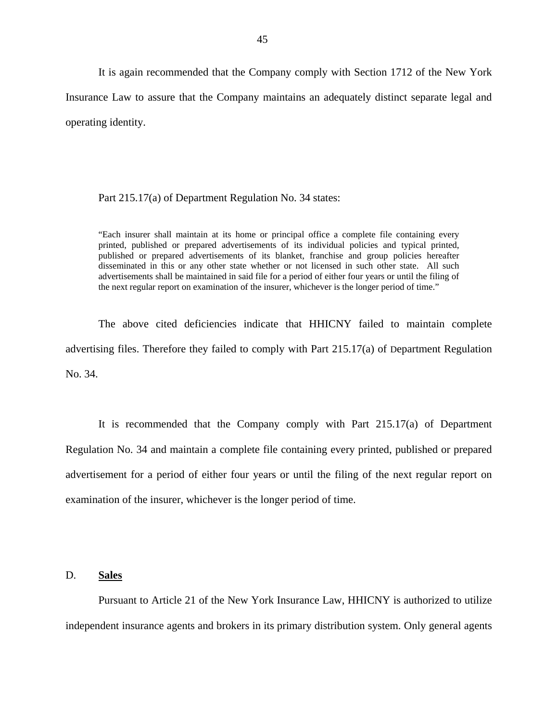It is again recommended that the Company comply with Section 1712 of the New York Insurance Law to assure that the Company maintains an adequately distinct separate legal and operating identity.

#### Part 215.17(a) of Department Regulation No. 34 states:

 published or prepared advertisements of its blanket, franchise and group policies hereafter disseminated in this or any other state whether or not licensed in such other state. All such "Each insurer shall maintain at its home or principal office a complete file containing every printed, published or prepared advertisements of its individual policies and typical printed, advertisements shall be maintained in said file for a period of either four years or until the filing of the next regular report on examination of the insurer, whichever is the longer period of time."

The above cited deficiencies indicate that HHICNY failed to maintain complete advertising files. Therefore they failed to comply with Part 215.17(a) of Department Regulation No. 34.

It is recommended that the Company comply with Part 215.17(a) of Department Regulation No. 34 and maintain a complete file containing every printed, published or prepared advertisement for a period of either four years or until the filing of the next regular report on examination of the insurer, whichever is the longer period of time.

#### D. **Sales**

Pursuant to Article 21 of the New York Insurance Law, HHICNY is authorized to utilize independent insurance agents and brokers in its primary distribution system. Only general agents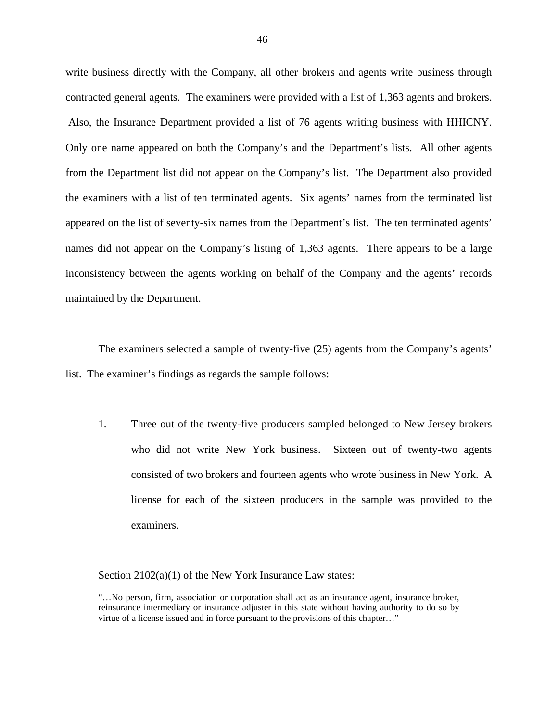Also, the Insurance Department provided a list of 76 agents writing business with HHICNY. write business directly with the Company, all other brokers and agents write business through contracted general agents. The examiners were provided with a list of 1,363 agents and brokers. Only one name appeared on both the Company's and the Department's lists. All other agents from the Department list did not appear on the Company's list. The Department also provided the examiners with a list of ten terminated agents. Six agents' names from the terminated list appeared on the list of seventy-six names from the Department's list. The ten terminated agents' names did not appear on the Company's listing of 1,363 agents. There appears to be a large inconsistency between the agents working on behalf of the Company and the agents' records maintained by the Department.

The examiners selected a sample of twenty-five (25) agents from the Company's agents' list. The examiner's findings as regards the sample follows:

1. Three out of the twenty-five producers sampled belonged to New Jersey brokers who did not write New York business. Sixteen out of twenty-two agents consisted of two brokers and fourteen agents who wrote business in New York. A license for each of the sixteen producers in the sample was provided to the examiners.

Section 2102(a)(1) of the New York Insurance Law states:

<sup>&</sup>quot;…No person, firm, association or corporation shall act as an insurance agent, insurance broker, reinsurance intermediary or insurance adjuster in this state without having authority to do so by virtue of a license issued and in force pursuant to the provisions of this chapter…"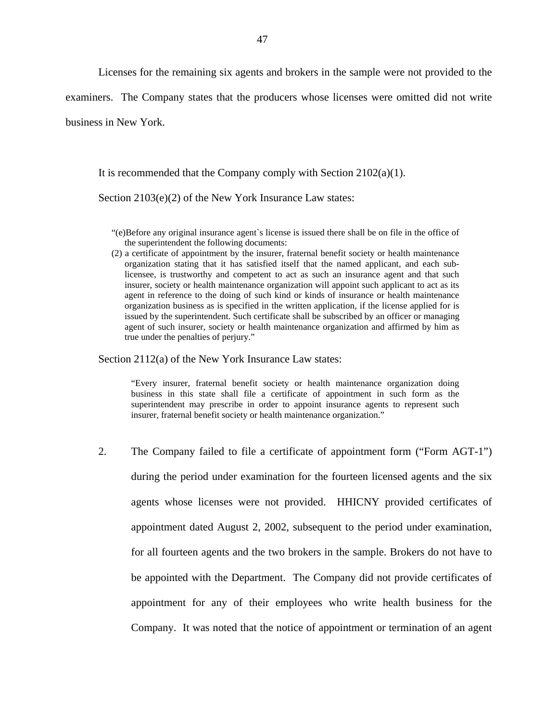Licenses for the remaining six agents and brokers in the sample were not provided to the

examiners. The Company states that the producers whose licenses were omitted did not write

business in New York.

It is recommended that the Company comply with Section 2102(a)(1).

Section 2103(e)(2) of the New York Insurance Law states:

- "(e)Before any original insurance agent`s license is issued there shall be on file in the office of the superintendent the following documents:
- agent in reference to the doing of such kind or kinds of insurance or health maintenance (2) a certificate of appointment by the insurer, fraternal benefit society or health maintenance organization stating that it has satisfied itself that the named applicant, and each sublicensee, is trustworthy and competent to act as such an insurance agent and that such insurer, society or health maintenance organization will appoint such applicant to act as its organization business as is specified in the written application, if the license applied for is issued by the superintendent. Such certificate shall be subscribed by an officer or managing agent of such insurer, society or health maintenance organization and affirmed by him as true under the penalties of perjury."

Section 2112(a) of the New York Insurance Law states:

"Every insurer, fraternal benefit society or health maintenance organization doing business in this state shall file a certificate of appointment in such form as the superintendent may prescribe in order to appoint insurance agents to represent such insurer, fraternal benefit society or health maintenance organization."

2. The Company failed to file a certificate of appointment form ("Form AGT-1") during the period under examination for the fourteen licensed agents and the six agents whose licenses were not provided. HHICNY provided certificates of appointment dated August 2, 2002, subsequent to the period under examination, for all fourteen agents and the two brokers in the sample. Brokers do not have to be appointed with the Department. The Company did not provide certificates of appointment for any of their employees who write health business for the Company. It was noted that the notice of appointment or termination of an agent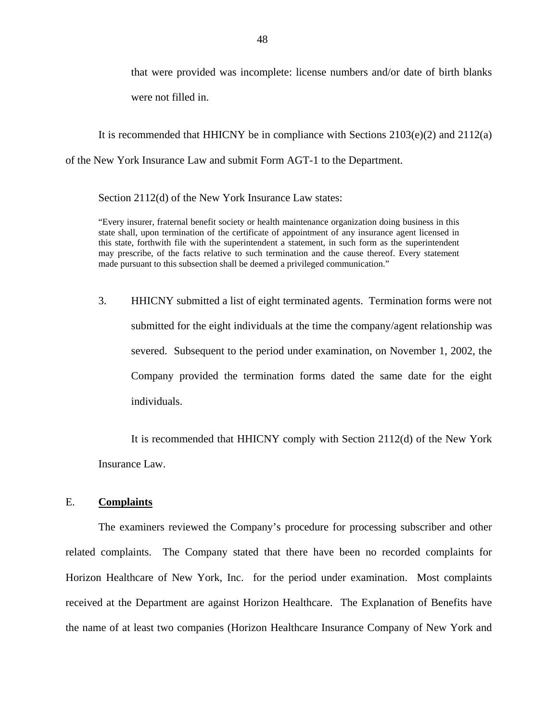that were provided was incomplete: license numbers and/or date of birth blanks were not filled in.

It is recommended that HHICNY be in compliance with Sections 2103(e)(2) and 2112(a) of the New York Insurance Law and submit Form AGT-1 to the Department.

Section 2112(d) of the New York Insurance Law states:

 this state, forthwith file with the superintendent a statement, in such form as the superintendent "Every insurer, fraternal benefit society or health maintenance organization doing business in this state shall, upon termination of the certificate of appointment of any insurance agent licensed in may prescribe, of the facts relative to such termination and the cause thereof. Every statement made pursuant to this subsection shall be deemed a privileged communication."

3. HHICNY submitted a list of eight terminated agents. Termination forms were not submitted for the eight individuals at the time the company/agent relationship was severed. Subsequent to the period under examination, on November 1, 2002, the Company provided the termination forms dated the same date for the eight individuals.

It is recommended that HHICNY comply with Section 2112(d) of the New York Insurance Law.

#### E. **Complaints**

The examiners reviewed the Company's procedure for processing subscriber and other related complaints. The Company stated that there have been no recorded complaints for Horizon Healthcare of New York, Inc. for the period under examination. Most complaints received at the Department are against Horizon Healthcare. The Explanation of Benefits have the name of at least two companies (Horizon Healthcare Insurance Company of New York and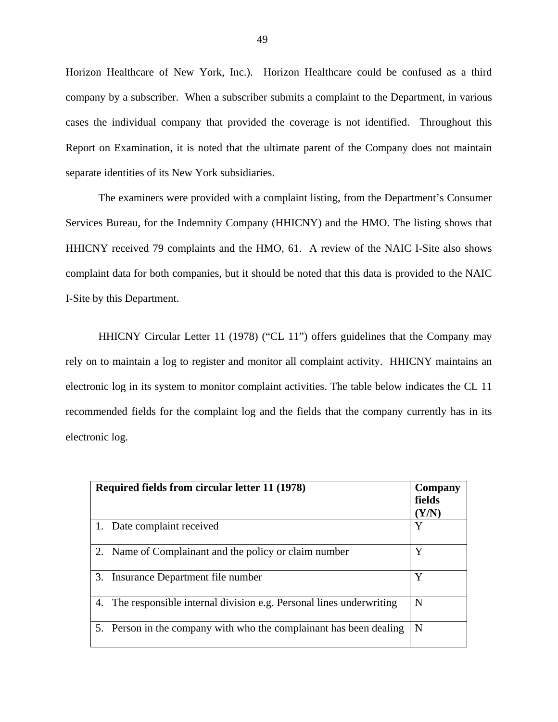Horizon Healthcare of New York, Inc.). Horizon Healthcare could be confused as a third company by a subscriber. When a subscriber submits a complaint to the Department, in various cases the individual company that provided the coverage is not identified. Throughout this Report on Examination, it is noted that the ultimate parent of the Company does not maintain separate identities of its New York subsidiaries.

The examiners were provided with a complaint listing, from the Department's Consumer Services Bureau, for the Indemnity Company (HHICNY) and the HMO. The listing shows that HHICNY received 79 complaints and the HMO, 61. A review of the NAIC I-Site also shows complaint data for both companies, but it should be noted that this data is provided to the NAIC I-Site by this Department.

HHICNY Circular Letter 11 (1978) ("CL 11") offers guidelines that the Company may rely on to maintain a log to register and monitor all complaint activity. HHICNY maintains an electronic log in its system to monitor complaint activities. The table below indicates the CL 11 recommended fields for the complaint log and the fields that the company currently has in its electronic log.

|    | Required fields from circular letter 11 (1978)                        | Company<br>fields<br>$(\mathbf{Y}/\mathbf{N})$ |
|----|-----------------------------------------------------------------------|------------------------------------------------|
|    | Date complaint received                                               | Y                                              |
|    | Name of Complainant and the policy or claim number                    | Y                                              |
| 3. | Insurance Department file number                                      | Y                                              |
|    | 4. The responsible internal division e.g. Personal lines underwriting | N                                              |
|    | 5. Person in the company with who the complainant has been dealing    | N                                              |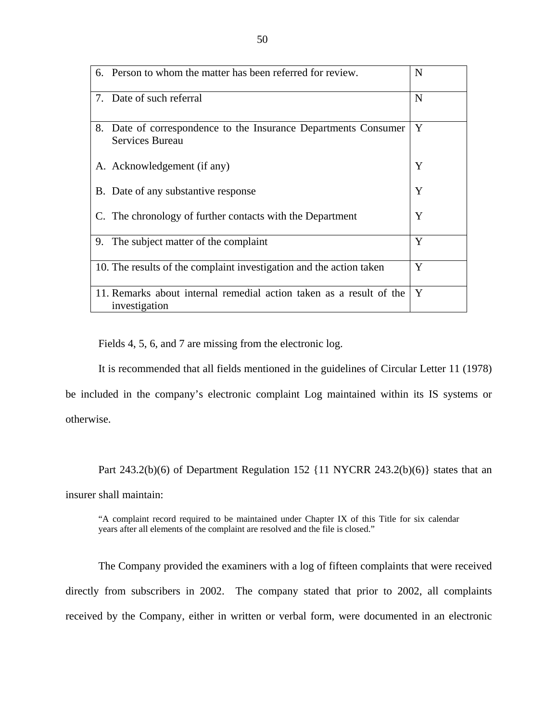| 6. Person to whom the matter has been referred for review.                            | N |
|---------------------------------------------------------------------------------------|---|
| 7. Date of such referral                                                              | N |
| 8.<br>Date of correspondence to the Insurance Departments Consumer<br>Services Bureau | Y |
| A. Acknowledgement (if any)                                                           | Y |
| B. Date of any substantive response                                                   | Y |
| C. The chronology of further contacts with the Department                             | Y |
| 9. The subject matter of the complaint                                                | Y |
| 10. The results of the complaint investigation and the action taken                   | Y |
| 11. Remarks about internal remedial action taken as a result of the<br>investigation  | Y |

Fields 4, 5, 6, and 7 are missing from the electronic log.

It is recommended that all fields mentioned in the guidelines of Circular Letter 11 (1978)

be included in the company's electronic complaint Log maintained within its IS systems or otherwise.

Part 243.2(b)(6) of Department Regulation 152 {11 NYCRR 243.2(b)(6)} states that an

insurer shall maintain:

"A complaint record required to be maintained under Chapter IX of this Title for six calendar years after all elements of the complaint are resolved and the file is closed."

The Company provided the examiners with a log of fifteen complaints that were received directly from subscribers in 2002. The company stated that prior to 2002, all complaints received by the Company, either in written or verbal form, were documented in an electronic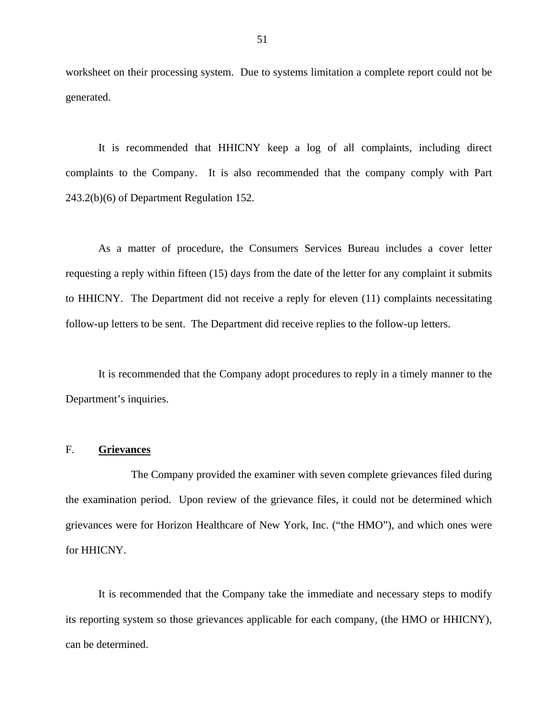worksheet on their processing system. Due to systems limitation a complete report could not be generated.

It is recommended that HHICNY keep a log of all complaints, including direct complaints to the Company. It is also recommended that the company comply with Part 243.2(b)(6) of Department Regulation 152.

As a matter of procedure, the Consumers Services Bureau includes a cover letter requesting a reply within fifteen (15) days from the date of the letter for any complaint it submits to HHICNY. The Department did not receive a reply for eleven (11) complaints necessitating follow-up letters to be sent. The Department did receive replies to the follow-up letters.

It is recommended that the Company adopt procedures to reply in a timely manner to the Department's inquiries.

#### F. **Grievances**

The Company provided the examiner with seven complete grievances filed during the examination period. Upon review of the grievance files, it could not be determined which grievances were for Horizon Healthcare of New York, Inc. ("the HMO"), and which ones were for HHICNY.

It is recommended that the Company take the immediate and necessary steps to modify its reporting system so those grievances applicable for each company, (the HMO or HHICNY), can be determined.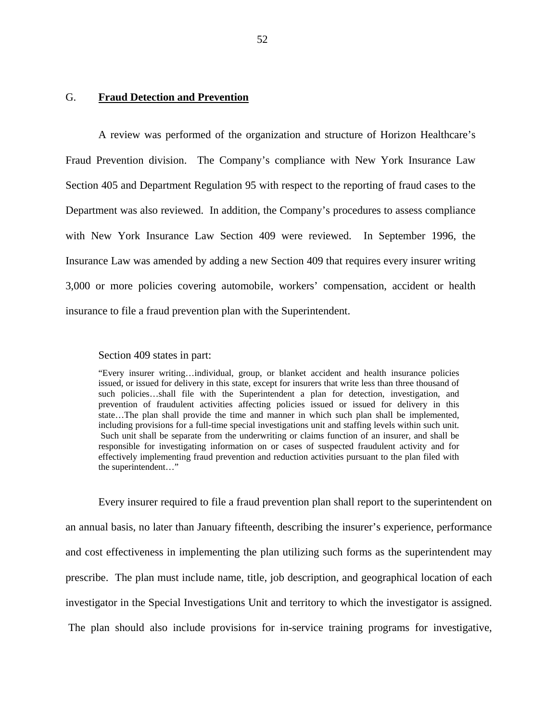#### G. **Fraud Detection and Prevention**

A review was performed of the organization and structure of Horizon Healthcare's Fraud Prevention division. The Company's compliance with New York Insurance Law Section 405 and Department Regulation 95 with respect to the reporting of fraud cases to the Department was also reviewed. In addition, the Company's procedures to assess compliance with New York Insurance Law Section 409 were reviewed. In September 1996, the Insurance Law was amended by adding a new Section 409 that requires every insurer writing 3,000 or more policies covering automobile, workers' compensation, accident or health insurance to file a fraud prevention plan with the Superintendent.

#### Section 409 states in part:

 prevention of fraudulent activities affecting policies issued or issued for delivery in this including provisions for a full-time special investigations unit and staffing levels within such unit. effectively implementing fraud prevention and reduction activities pursuant to the plan filed with "Every insurer writing…individual, group, or blanket accident and health insurance policies issued, or issued for delivery in this state, except for insurers that write less than three thousand of such policies…shall file with the Superintendent a plan for detection, investigation, and state…The plan shall provide the time and manner in which such plan shall be implemented, Such unit shall be separate from the underwriting or claims function of an insurer, and shall be responsible for investigating information on or cases of suspected fraudulent activity and for the superintendent…"

Every insurer required to file a fraud prevention plan shall report to the superintendent on an annual basis, no later than January fifteenth, describing the insurer's experience, performance and cost effectiveness in implementing the plan utilizing such forms as the superintendent may prescribe. The plan must include name, title, job description, and geographical location of each investigator in the Special Investigations Unit and territory to which the investigator is assigned. The plan should also include provisions for in-service training programs for investigative,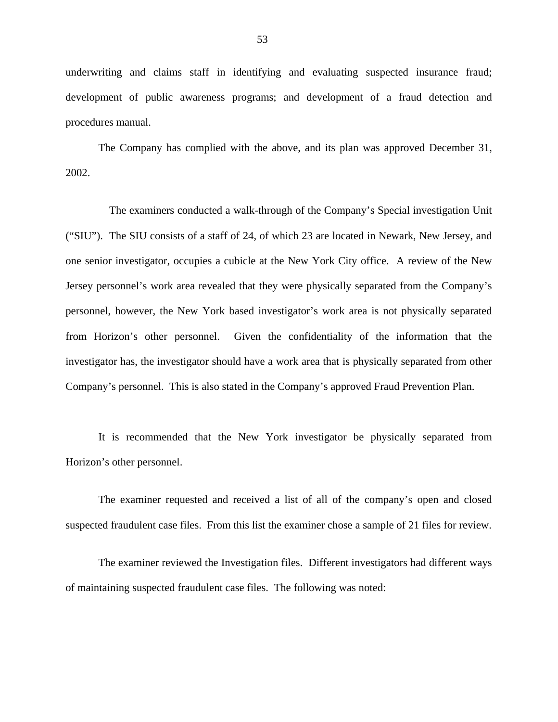underwriting and claims staff in identifying and evaluating suspected insurance fraud; development of public awareness programs; and development of a fraud detection and procedures manual.

The Company has complied with the above, and its plan was approved December 31, 2002.

The examiners conducted a walk-through of the Company's Special investigation Unit ("SIU"). The SIU consists of a staff of 24, of which 23 are located in Newark, New Jersey, and one senior investigator, occupies a cubicle at the New York City office. A review of the New Jersey personnel's work area revealed that they were physically separated from the Company's personnel, however, the New York based investigator's work area is not physically separated from Horizon's other personnel. Given the confidentiality of the information that the investigator has, the investigator should have a work area that is physically separated from other Company's personnel. This is also stated in the Company's approved Fraud Prevention Plan.

It is recommended that the New York investigator be physically separated from Horizon's other personnel.

The examiner requested and received a list of all of the company's open and closed suspected fraudulent case files. From this list the examiner chose a sample of 21 files for review.

The examiner reviewed the Investigation files. Different investigators had different ways of maintaining suspected fraudulent case files. The following was noted: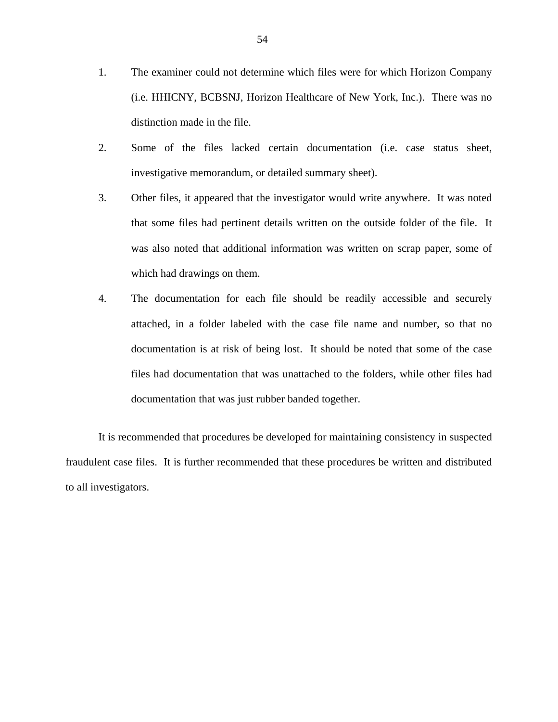- 1. The examiner could not determine which files were for which Horizon Company (i.e. HHICNY, BCBSNJ, Horizon Healthcare of New York, Inc.). There was no distinction made in the file.
- 2. Some of the files lacked certain documentation (i.e. case status sheet, investigative memorandum, or detailed summary sheet).
- 3. Other files, it appeared that the investigator would write anywhere. It was noted that some files had pertinent details written on the outside folder of the file. It was also noted that additional information was written on scrap paper, some of which had drawings on them.
- 4. The documentation for each file should be readily accessible and securely attached, in a folder labeled with the case file name and number, so that no documentation is at risk of being lost. It should be noted that some of the case files had documentation that was unattached to the folders, while other files had documentation that was just rubber banded together.

It is recommended that procedures be developed for maintaining consistency in suspected fraudulent case files. It is further recommended that these procedures be written and distributed to all investigators.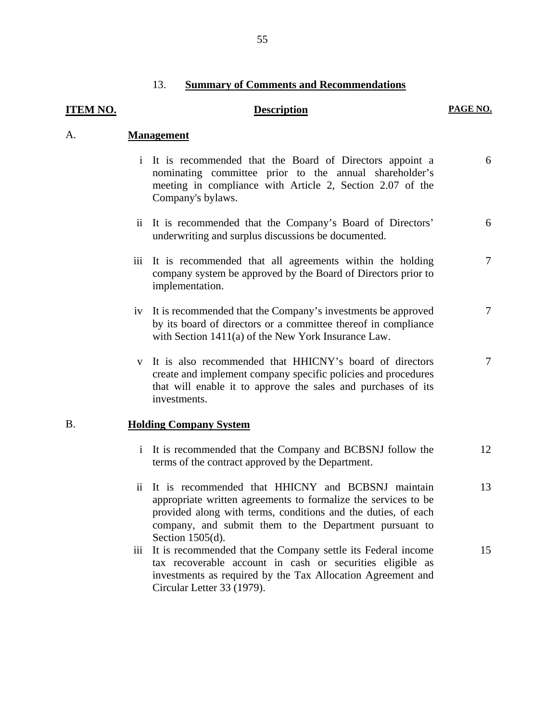#### 13. **Summary of Comments and Recommendations**

# **ITEM NO. Description** PAGE NO. **Management** i It is recommended that the Board of Directors appoint a 6 nominating committee prior to the annual shareholder's meeting in compliance with Article 2, Section 2.07 of the Company's bylaws. ii It is recommended that the Company's Board of Directors' 6 underwriting and surplus discussions be documented. iii It is recommended that all agreements within the holding  $\frac{7}{10}$ company system be approved by the Board of Directors prior to implementation. iv It is recommended that the Company's investments be approved  $\frac{7}{7}$ by its board of directors or a committee thereof in compliance with Section 1411(a) of the New York Insurance Law. v It is also recommended that HHICNY's board of directors  $7$ create and implement company specific policies and procedures that will enable it to approve the sales and purchases of its investments. **Holding Company System**  i It is recommended that the Company and BCBSNJ follow the 12 terms of the contract approved by the Department. ii It is recommended that HHICNY and BCBSNJ maintain 13 appropriate written agreements to formalize the services to be provided along with terms, conditions and the duties, of each company, and submit them to the Department pursuant to Section 1505(d). iii It is recommended that the Company settle its Federal income 15 tax recoverable account in cash or securities eligible as investments as required by the Tax Allocation Agreement and

Circular Letter 33 (1979).

A.

B.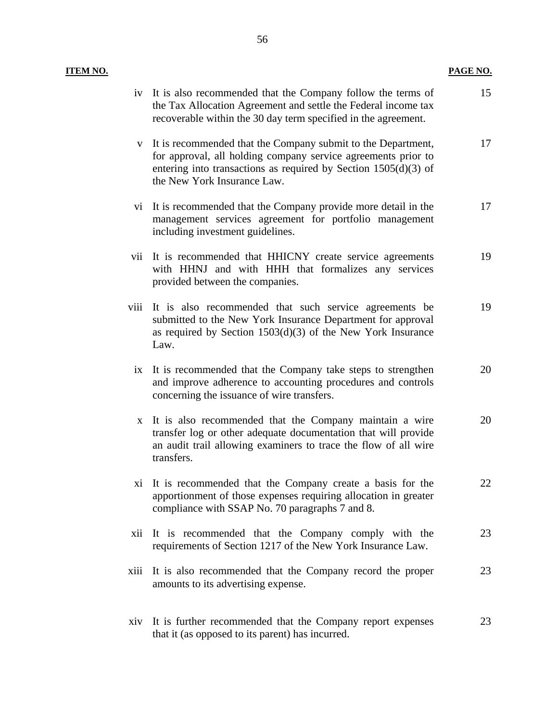| <u>ITEM NO.</u> |          |                                                                                                                                                                                                                                     | PAGE NO. |
|-----------------|----------|-------------------------------------------------------------------------------------------------------------------------------------------------------------------------------------------------------------------------------------|----------|
|                 |          | iv It is also recommended that the Company follow the terms of<br>the Tax Allocation Agreement and settle the Federal income tax<br>recoverable within the 30 day term specified in the agreement.                                  | 15       |
|                 |          | v It is recommended that the Company submit to the Department,<br>for approval, all holding company service agreements prior to<br>entering into transactions as required by Section $1505(d)(3)$ of<br>the New York Insurance Law. | 17       |
|                 | $\rm{V}$ | It is recommended that the Company provide more detail in the<br>management services agreement for portfolio management<br>including investment guidelines.                                                                         | 17       |
|                 |          | vii It is recommended that HHICNY create service agreements<br>with HHNJ and with HHH that formalizes any services<br>provided between the companies.                                                                               | 19       |
|                 | viii     | It is also recommended that such service agreements be<br>submitted to the New York Insurance Department for approval<br>as required by Section $1503(d)(3)$ of the New York Insurance<br>Law.                                      | 19       |
|                 | ix       | It is recommended that the Company take steps to strengthen<br>and improve adherence to accounting procedures and controls<br>concerning the issuance of wire transfers.                                                            | 20       |
|                 |          | x It is also recommended that the Company maintain a wire<br>transfer log or other adequate documentation that will provide<br>an audit trail allowing examiners to trace the flow of all wire<br>transfers.                        | 20       |
|                 |          | xi It is recommended that the Company create a basis for the<br>apportionment of those expenses requiring allocation in greater<br>compliance with SSAP No. 70 paragraphs 7 and 8.                                                  | 22       |
|                 | xii      | It is recommended that the Company comply with the<br>requirements of Section 1217 of the New York Insurance Law.                                                                                                                   | 23       |
|                 | xiii     | It is also recommended that the Company record the proper<br>amounts to its advertising expense.                                                                                                                                    | 23       |
|                 |          | xiv It is further recommended that the Company report expenses<br>that it (as opposed to its parent) has incurred.                                                                                                                  | 23       |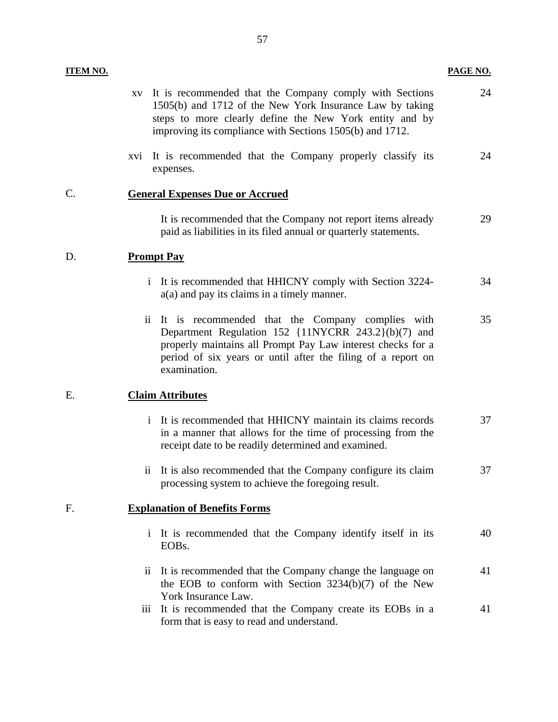<span id="page-59-0"></span>

| <b>ITEM NO.</b> |                                                                                                                                                                                                                                                                                    | PAGE NO. |
|-----------------|------------------------------------------------------------------------------------------------------------------------------------------------------------------------------------------------------------------------------------------------------------------------------------|----------|
|                 | It is recommended that the Company comply with Sections<br>XV<br>1505(b) and 1712 of the New York Insurance Law by taking<br>steps to more clearly define the New York entity and by<br>improving its compliance with Sections 1505(b) and 1712.                                   | 24       |
|                 | xvi It is recommended that the Company properly classify its<br>expenses.                                                                                                                                                                                                          | 24       |
| $\mathcal{C}$ . | <b>General Expenses Due or Accrued</b>                                                                                                                                                                                                                                             |          |
|                 | It is recommended that the Company not report items already<br>paid as liabilities in its filed annual or quarterly statements.                                                                                                                                                    | 29       |
| D.              | <b>Prompt Pay</b>                                                                                                                                                                                                                                                                  |          |
|                 | It is recommended that HHICNY comply with Section 3224-<br>$\mathbf{1}$<br>$a(a)$ and pay its claims in a timely manner.                                                                                                                                                           | 34       |
|                 | It is recommended that the Company complies with<br>$\overline{\mathbf{11}}$<br>Department Regulation 152 {11NYCRR 243.2}(b)(7) and<br>properly maintains all Prompt Pay Law interest checks for a<br>period of six years or until after the filing of a report on<br>examination. | 35       |
| Е.              | <b>Claim Attributes</b>                                                                                                                                                                                                                                                            |          |
|                 | i It is recommended that HHICNY maintain its claims records<br>in a manner that allows for the time of processing from the<br>receipt date to be readily determined and examined.                                                                                                  | 37       |
|                 | It is also recommended that the Company configure its claim<br>11<br>processing system to achieve the foregoing result.                                                                                                                                                            | 37       |
| F.              | <b>Explanation of Benefits Forms</b>                                                                                                                                                                                                                                               |          |
|                 | It is recommended that the Company identify itself in its<br>$\mathbf{i}$<br>EOB <sub>s</sub> .                                                                                                                                                                                    | 40       |
|                 | It is recommended that the Company change the language on<br>$\overline{11}$<br>the EOB to conform with Section 3234(b)(7) of the New<br>York Insurance Law.                                                                                                                       | 41       |
|                 | It is recommended that the Company create its EOBs in a<br>111<br>form that is easy to read and understand.                                                                                                                                                                        | 41       |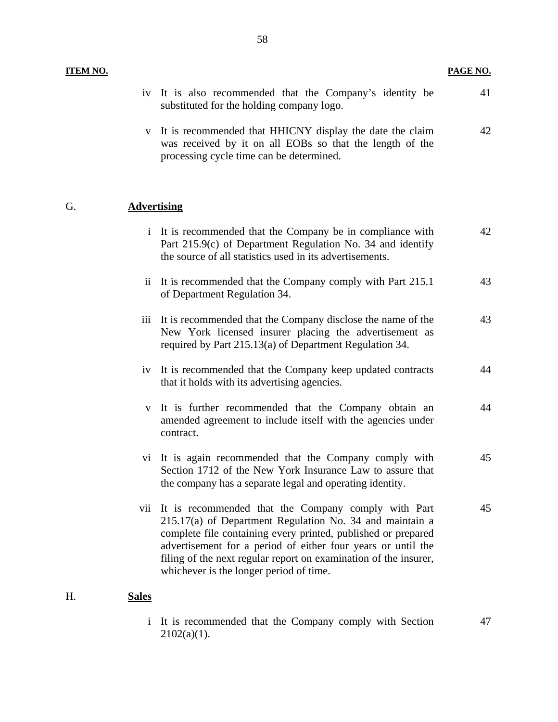#### **ITEM NO.**

**PAGE NO.** 

45

| 11 ERI 190. |                     |                                                                                                                                                                                      | <u>. AULTIV.</u> |
|-------------|---------------------|--------------------------------------------------------------------------------------------------------------------------------------------------------------------------------------|------------------|
|             | iv                  | It is also recommended that the Company's identity be<br>substituted for the holding company logo.                                                                                   | 41               |
|             | V                   | It is recommended that HHICNY display the date the claim<br>was received by it on all EOBs so that the length of the<br>processing cycle time can be determined.                     | 42               |
| G.          |                     | <b>Advertising</b>                                                                                                                                                                   |                  |
|             |                     | i It is recommended that the Company be in compliance with<br>Part 215.9(c) of Department Regulation No. 34 and identify<br>the source of all statistics used in its advertisements. | 42               |
|             | $\ddot{\mathbf{i}}$ | It is recommended that the Company comply with Part 215.1<br>of Department Regulation 34.                                                                                            | 43               |
|             | iii                 | It is recommended that the Company disclose the name of the<br>New York licensed insurer placing the advertisement as<br>required by Part 215.13(a) of Department Regulation 34.     | 43               |
|             | iv                  | It is recommended that the Company keep updated contracts<br>that it holds with its advertising agencies.                                                                            | 44               |
|             | $\mathbf{V}$        | It is further recommended that the Company obtain an<br>amended agreement to include itself with the agencies under<br>contract.                                                     | 44               |
|             | V1                  | It is again recommended that the Company comply with                                                                                                                                 | 45               |

#### H. **Sales**

i It is recommended that the Company comply with Section  $2102(a)(1)$ . 47

Section 1712 of the New York Insurance Law to assure that

the company has a separate legal and operating identity.

vii It is recommended that the Company comply with Part 215.17(a) of Department Regulation No. 34 and maintain a complete file containing every printed, published or prepared advertisement for a period of either four years or until the filing of the next regular report on examination of the insurer,

whichever is the longer period of time.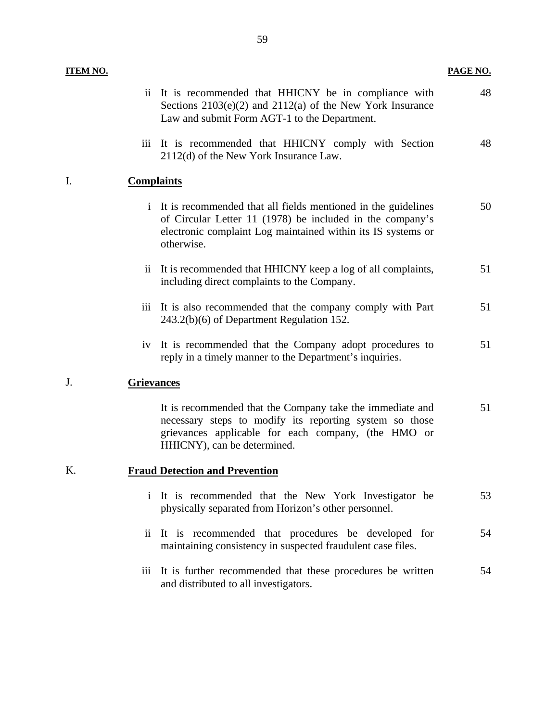<span id="page-61-0"></span>

| <b>ITEM NO.</b> |                     |                                                                                                                                                                                                            | PAGE NO. |
|-----------------|---------------------|------------------------------------------------------------------------------------------------------------------------------------------------------------------------------------------------------------|----------|
|                 |                     | ii It is recommended that HHICNY be in compliance with<br>Sections $2103(e)(2)$ and $2112(a)$ of the New York Insurance<br>Law and submit Form AGT-1 to the Department.                                    | 48       |
|                 | iii                 | It is recommended that HHICNY comply with Section<br>2112(d) of the New York Insurance Law.                                                                                                                | 48       |
| I.              | <b>Complaints</b>   |                                                                                                                                                                                                            |          |
|                 | $\mathbf{i}$        | It is recommended that all fields mentioned in the guidelines<br>of Circular Letter 11 (1978) be included in the company's<br>electronic complaint Log maintained within its IS systems or<br>otherwise.   | 50       |
|                 |                     | ii It is recommended that HHICNY keep a log of all complaints,<br>including direct complaints to the Company.                                                                                              | 51       |
|                 |                     | iii It is also recommended that the company comply with Part<br>243.2(b)(6) of Department Regulation 152.                                                                                                  | 51       |
|                 |                     | iv It is recommended that the Company adopt procedures to<br>reply in a timely manner to the Department's inquiries.                                                                                       | 51       |
| J.              | <b>Grievances</b>   |                                                                                                                                                                                                            |          |
|                 |                     | It is recommended that the Company take the immediate and<br>necessary steps to modify its reporting system so those<br>grievances applicable for each company, (the HMO or<br>HHICNY), can be determined. | 51       |
| Κ.              |                     | <b>Fraud Detection and Prevention</b>                                                                                                                                                                      |          |
|                 | $\mathbf{i}$        | It is recommended that the New York Investigator be<br>physically separated from Horizon's other personnel.                                                                                                | 53       |
|                 | $\ddot{\mathbf{i}}$ | It is recommended that procedures be developed for<br>maintaining consistency in suspected fraudulent case files.                                                                                          | 54       |
|                 | iii                 | It is further recommended that these procedures be written<br>and distributed to all investigators.                                                                                                        | 54       |